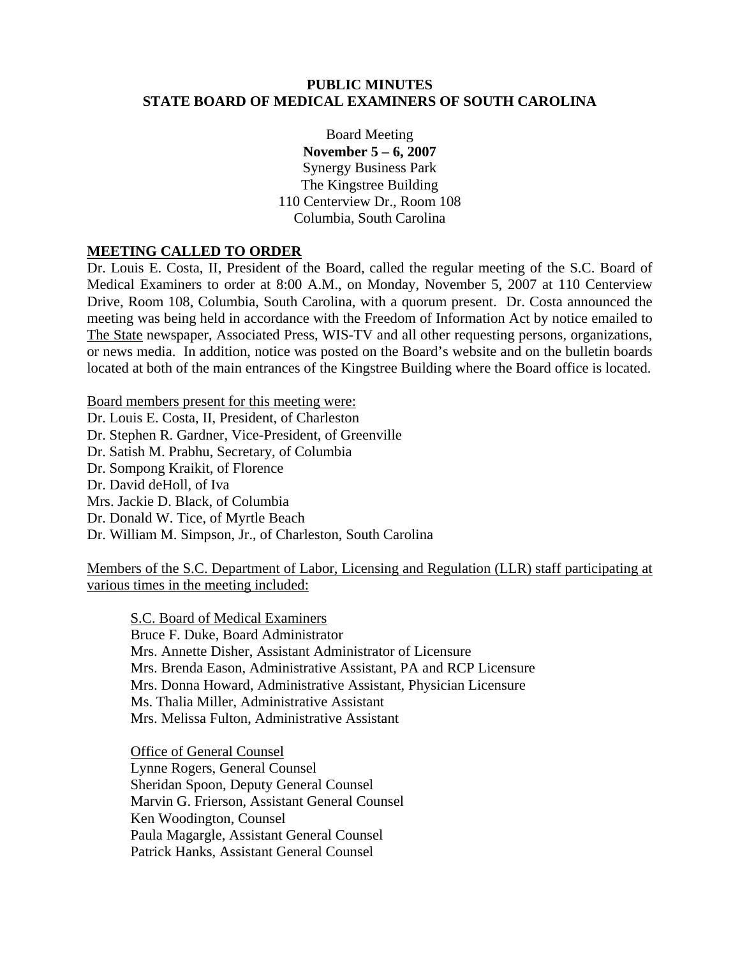### **PUBLIC MINUTES STATE BOARD OF MEDICAL EXAMINERS OF SOUTH CAROLINA**

Board Meeting **November 5 – 6, 2007**  Synergy Business Park The Kingstree Building 110 Centerview Dr., Room 108 Columbia, South Carolina

### **MEETING CALLED TO ORDER**

Dr. Louis E. Costa, II, President of the Board, called the regular meeting of the S.C. Board of Medical Examiners to order at 8:00 A.M., on Monday, November 5, 2007 at 110 Centerview Drive, Room 108, Columbia, South Carolina, with a quorum present. Dr. Costa announced the meeting was being held in accordance with the Freedom of Information Act by notice emailed to The State newspaper, Associated Press, WIS-TV and all other requesting persons, organizations, or news media. In addition, notice was posted on the Board's website and on the bulletin boards located at both of the main entrances of the Kingstree Building where the Board office is located.

Board members present for this meeting were: Dr. Louis E. Costa, II, President, of Charleston Dr. Stephen R. Gardner, Vice-President, of Greenville Dr. Satish M. Prabhu, Secretary, of Columbia Dr. Sompong Kraikit, of Florence Dr. David deHoll, of Iva Mrs. Jackie D. Black, of Columbia Dr. Donald W. Tice, of Myrtle Beach Dr. William M. Simpson, Jr., of Charleston, South Carolina

Members of the S.C. Department of Labor, Licensing and Regulation (LLR) staff participating at various times in the meeting included:

S.C. Board of Medical Examiners Bruce F. Duke, Board Administrator Mrs. Annette Disher, Assistant Administrator of Licensure Mrs. Brenda Eason, Administrative Assistant, PA and RCP Licensure Mrs. Donna Howard, Administrative Assistant, Physician Licensure Ms. Thalia Miller, Administrative Assistant Mrs. Melissa Fulton, Administrative Assistant

 Office of General Counsel Lynne Rogers, General Counsel Sheridan Spoon, Deputy General Counsel Marvin G. Frierson, Assistant General Counsel Ken Woodington, Counsel Paula Magargle, Assistant General Counsel Patrick Hanks, Assistant General Counsel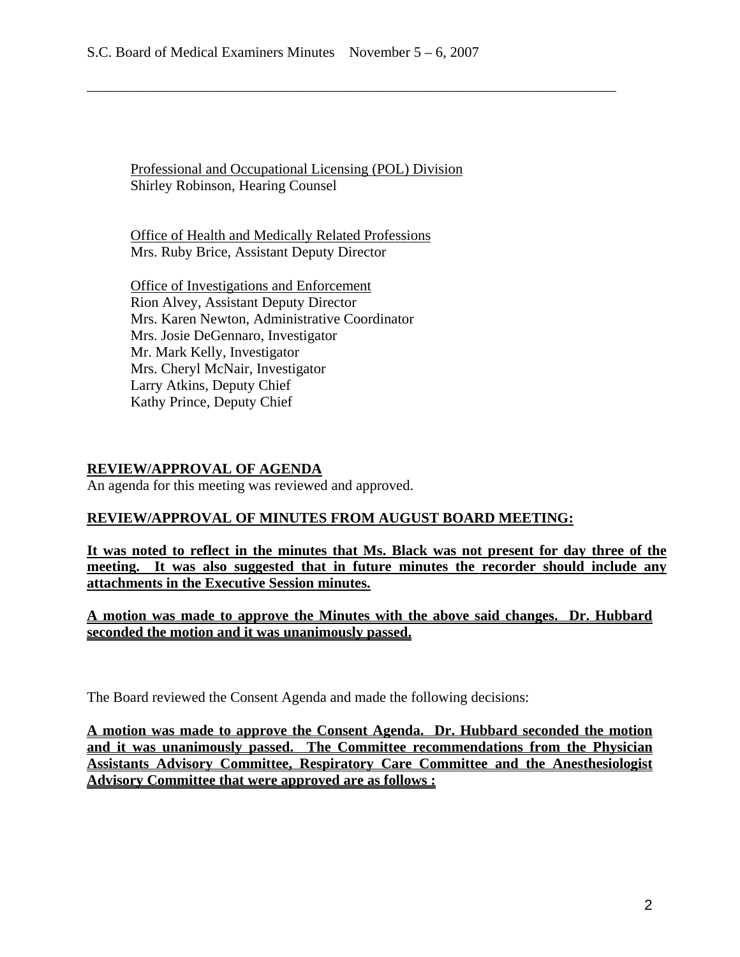Professional and Occupational Licensing (POL) Division Shirley Robinson, Hearing Counsel

\_\_\_\_\_\_\_\_\_\_\_\_\_\_\_\_\_\_\_\_\_\_\_\_\_\_\_\_\_\_\_\_\_\_\_\_\_\_\_\_\_\_\_\_\_\_\_\_\_\_\_\_\_\_\_\_\_\_\_\_\_\_\_\_\_\_\_\_\_\_\_\_\_

Office of Health and Medically Related Professions Mrs. Ruby Brice, Assistant Deputy Director

Office of Investigations and Enforcement Rion Alvey, Assistant Deputy Director Mrs. Karen Newton, Administrative Coordinator Mrs. Josie DeGennaro, Investigator Mr. Mark Kelly, Investigator Mrs. Cheryl McNair, Investigator Larry Atkins, Deputy Chief Kathy Prince, Deputy Chief

### **REVIEW/APPROVAL OF AGENDA**

An agenda for this meeting was reviewed and approved.

### **REVIEW/APPROVAL OF MINUTES FROM AUGUST BOARD MEETING:**

**It was noted to reflect in the minutes that Ms. Black was not present for day three of the meeting. It was also suggested that in future minutes the recorder should include any attachments in the Executive Session minutes.**

**A motion was made to approve the Minutes with the above said changes. Dr. Hubbard seconded the motion and it was unanimously passed.** 

The Board reviewed the Consent Agenda and made the following decisions:

**A motion was made to approve the Consent Agenda. Dr. Hubbard seconded the motion and it was unanimously passed. The Committee recommendations from the Physician Assistants Advisory Committee, Respiratory Care Committee and the Anesthesiologist Advisory Committee that were approved are as follows :**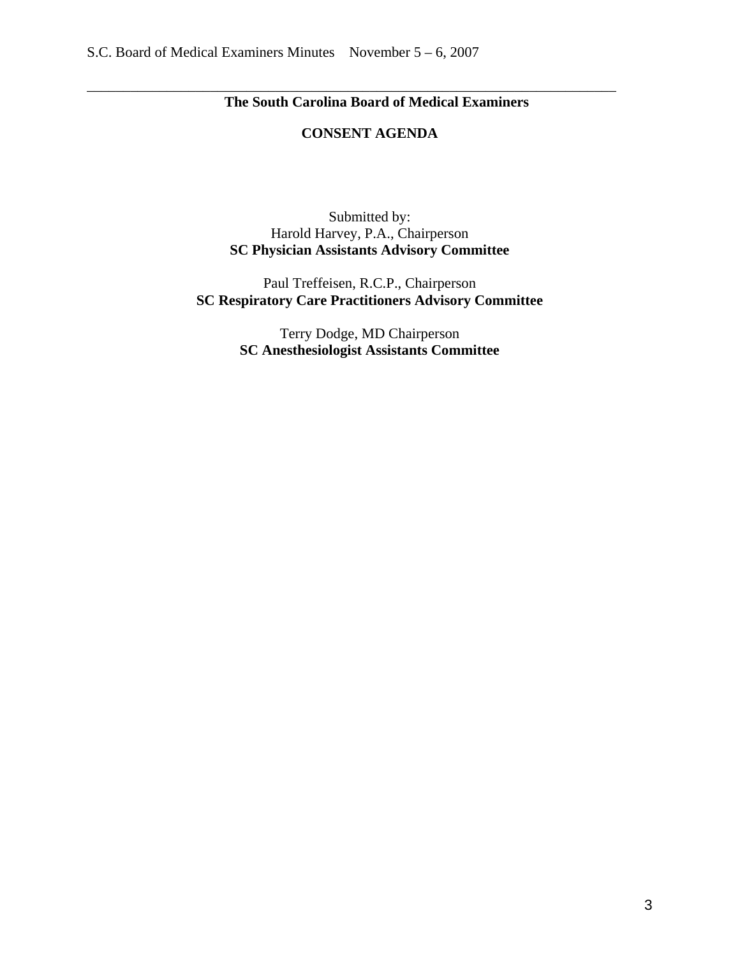# **The South Carolina Board of Medical Examiners**

### **CONSENT AGENDA**

\_\_\_\_\_\_\_\_\_\_\_\_\_\_\_\_\_\_\_\_\_\_\_\_\_\_\_\_\_\_\_\_\_\_\_\_\_\_\_\_\_\_\_\_\_\_\_\_\_\_\_\_\_\_\_\_\_\_\_\_\_\_\_\_\_\_\_\_\_\_\_\_\_

Submitted by: Harold Harvey, P.A., Chairperson **SC Physician Assistants Advisory Committee** 

Paul Treffeisen, R.C.P., Chairperson **SC Respiratory Care Practitioners Advisory Committee** 

> Terry Dodge, MD Chairperson **SC Anesthesiologist Assistants Committee**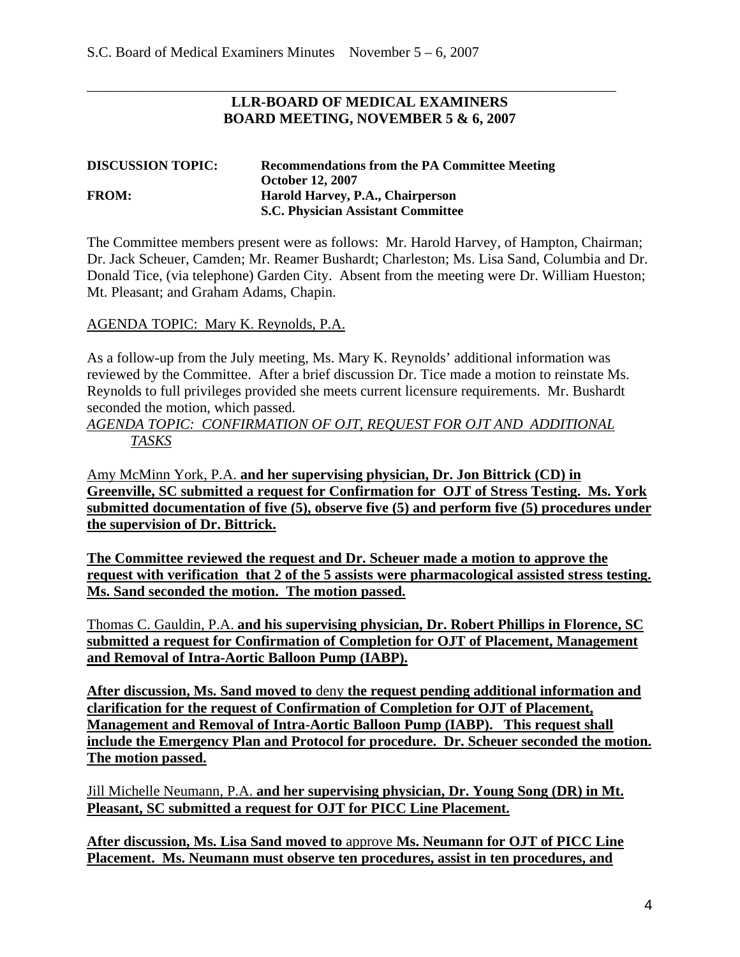### **LLR-BOARD OF MEDICAL EXAMINERS BOARD MEETING, NOVEMBER 5 & 6, 2007**

\_\_\_\_\_\_\_\_\_\_\_\_\_\_\_\_\_\_\_\_\_\_\_\_\_\_\_\_\_\_\_\_\_\_\_\_\_\_\_\_\_\_\_\_\_\_\_\_\_\_\_\_\_\_\_\_\_\_\_\_\_\_\_\_\_\_\_\_\_\_\_\_\_

| <b>DISCUSSION TOPIC:</b> | <b>Recommendations from the PA Committee Meeting</b> |
|--------------------------|------------------------------------------------------|
|                          | <b>October 12, 2007</b>                              |
| <b>FROM:</b>             | Harold Harvey, P.A., Chairperson                     |
|                          | <b>S.C. Physician Assistant Committee</b>            |

The Committee members present were as follows: Mr. Harold Harvey, of Hampton, Chairman; Dr. Jack Scheuer, Camden; Mr. Reamer Bushardt; Charleston; Ms. Lisa Sand, Columbia and Dr. Donald Tice, (via telephone) Garden City. Absent from the meeting were Dr. William Hueston; Mt. Pleasant; and Graham Adams, Chapin.

### AGENDA TOPIC: Mary K. Reynolds, P.A.

As a follow-up from the July meeting, Ms. Mary K. Reynolds' additional information was reviewed by the Committee. After a brief discussion Dr. Tice made a motion to reinstate Ms. Reynolds to full privileges provided she meets current licensure requirements. Mr. Bushardt seconded the motion, which passed.

### *AGENDA TOPIC: CONFIRMATION OF OJT, REQUEST FOR OJT AND ADDITIONAL TASKS*

Amy McMinn York, P.A. **and her supervising physician, Dr. Jon Bittrick (CD) in Greenville, SC submitted a request for Confirmation for OJT of Stress Testing. Ms. York submitted documentation of five (5), observe five (5) and perform five (5) procedures under the supervision of Dr. Bittrick.** 

**The Committee reviewed the request and Dr. Scheuer made a motion to approve the request with verification that 2 of the 5 assists were pharmacological assisted stress testing. Ms. Sand seconded the motion. The motion passed.**

Thomas C. Gauldin, P.A. **and his supervising physician, Dr. Robert Phillips in Florence, SC submitted a request for Confirmation of Completion for OJT of Placement, Management and Removal of Intra-Aortic Balloon Pump (IABP).** 

**After discussion, Ms. Sand moved to** deny **the request pending additional information and clarification for the request of Confirmation of Completion for OJT of Placement, Management and Removal of Intra-Aortic Balloon Pump (IABP). This request shall include the Emergency Plan and Protocol for procedure. Dr. Scheuer seconded the motion. The motion passed.** 

Jill Michelle Neumann, P.A. **and her supervising physician, Dr. Young Song (DR) in Mt. Pleasant, SC submitted a request for OJT for PICC Line Placement.** 

**After discussion, Ms. Lisa Sand moved to** approve **Ms. Neumann for OJT of PICC Line Placement. Ms. Neumann must observe ten procedures, assist in ten procedures, and**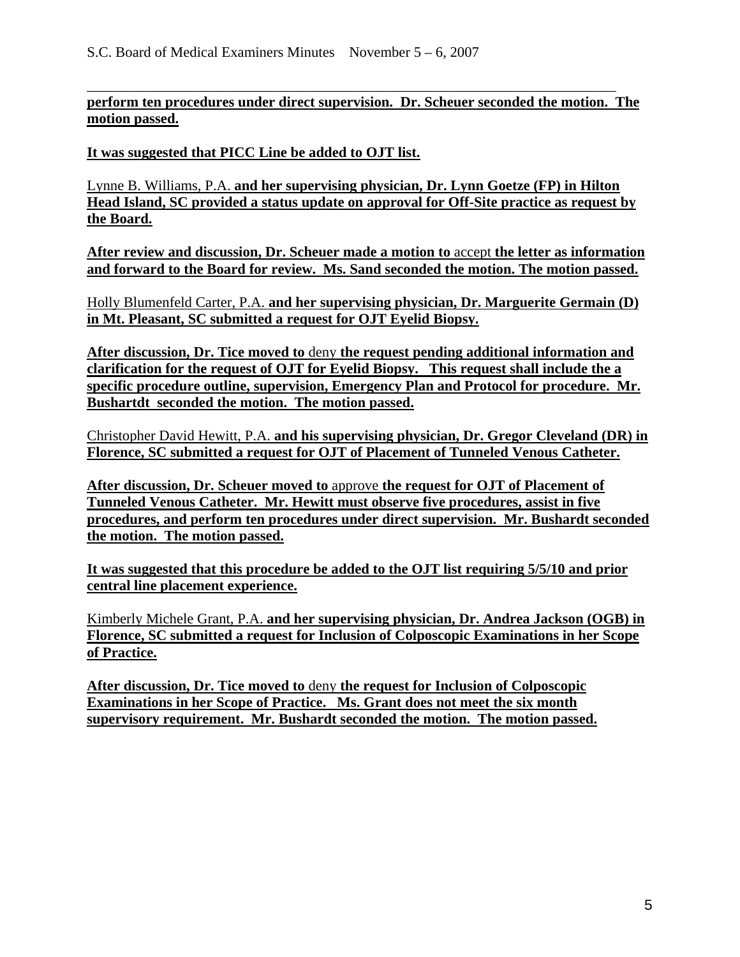\_\_\_\_\_\_\_\_\_\_\_\_\_\_\_\_\_\_\_\_\_\_\_\_\_\_\_\_\_\_\_\_\_\_\_\_\_\_\_\_\_\_\_\_\_\_\_\_\_\_\_\_\_\_\_\_\_\_\_\_\_\_\_\_\_\_\_\_\_\_\_\_\_ **perform ten procedures under direct supervision. Dr. Scheuer seconded the motion. The motion passed.** 

**It was suggested that PICC Line be added to OJT list.**

Lynne B. Williams, P.A. **and her supervising physician, Dr. Lynn Goetze (FP) in Hilton Head Island, SC provided a status update on approval for Off-Site practice as request by the Board.** 

**After review and discussion, Dr. Scheuer made a motion to** accept **the letter as information and forward to the Board for review. Ms. Sand seconded the motion. The motion passed.**

Holly Blumenfeld Carter, P.A. **and her supervising physician, Dr. Marguerite Germain (D) in Mt. Pleasant, SC submitted a request for OJT Eyelid Biopsy.**

**After discussion, Dr. Tice moved to** deny **the request pending additional information and clarification for the request of OJT for Eyelid Biopsy. This request shall include the a specific procedure outline, supervision, Emergency Plan and Protocol for procedure. Mr. Bushartdt seconded the motion. The motion passed.** 

Christopher David Hewitt, P.A. **and his supervising physician, Dr. Gregor Cleveland (DR) in Florence, SC submitted a request for OJT of Placement of Tunneled Venous Catheter.** 

**After discussion, Dr. Scheuer moved to** approve **the request for OJT of Placement of Tunneled Venous Catheter. Mr. Hewitt must observe five procedures, assist in five procedures, and perform ten procedures under direct supervision. Mr. Bushardt seconded the motion. The motion passed.** 

**It was suggested that this procedure be added to the OJT list requiring 5/5/10 and prior central line placement experience.**

Kimberly Michele Grant, P.A. **and her supervising physician, Dr. Andrea Jackson (OGB) in Florence, SC submitted a request for Inclusion of Colposcopic Examinations in her Scope of Practice.** 

**After discussion, Dr. Tice moved to** deny **the request for Inclusion of Colposcopic Examinations in her Scope of Practice. Ms. Grant does not meet the six month supervisory requirement. Mr. Bushardt seconded the motion. The motion passed.**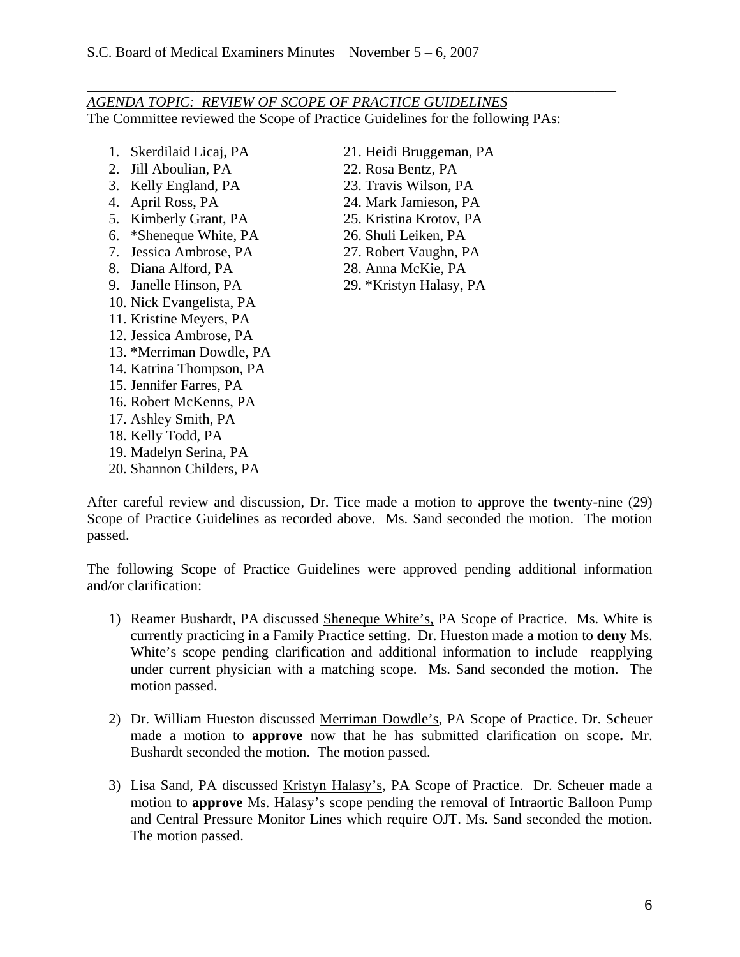*AGENDA TOPIC: REVIEW OF SCOPE OF PRACTICE GUIDELINES* The Committee reviewed the Scope of Practice Guidelines for the following PAs:

\_\_\_\_\_\_\_\_\_\_\_\_\_\_\_\_\_\_\_\_\_\_\_\_\_\_\_\_\_\_\_\_\_\_\_\_\_\_\_\_\_\_\_\_\_\_\_\_\_\_\_\_\_\_\_\_\_\_\_\_\_\_\_\_\_\_\_\_\_\_\_\_\_

- 1. Skerdilaid Licaj, PA
- 2. Jill Aboulian, PA
- 3. Kelly England, PA
- 4. April Ross, PA
- 5. Kimberly Grant, PA
- 6. \*Sheneque White, PA
- 7. Jessica Ambrose, PA
- 8. Diana Alford, PA
- 9. Janelle Hinson, PA
- 10. Nick Evangelista, PA
- 11. Kristine Meyers, PA
- 12. Jessica Ambrose, PA
- 13. \*Merriman Dowdle, PA
- 14. Katrina Thompson, PA
- 15. Jennifer Farres, PA
- 16. Robert McKenns, PA
- 17. Ashley Smith, PA
- 18. Kelly Todd, PA
- 19. Madelyn Serina, PA
- 20. Shannon Childers, PA
- 21. Heidi Bruggeman, PA
- 22. Rosa Bentz, PA
- 23. Travis Wilson, PA
- 24. Mark Jamieson, PA
- 25. Kristina Krotov, PA
- 26. Shuli Leiken, PA
- 27. Robert Vaughn, PA
- 28. Anna McKie, PA
- 29. \*Kristyn Halasy, PA

After careful review and discussion, Dr. Tice made a motion to approve the twenty-nine (29) Scope of Practice Guidelines as recorded above. Ms. Sand seconded the motion. The motion passed.

The following Scope of Practice Guidelines were approved pending additional information and/or clarification:

- 1) Reamer Bushardt, PA discussed Sheneque White's, PA Scope of Practice. Ms. White is currently practicing in a Family Practice setting. Dr. Hueston made a motion to **deny** Ms. White's scope pending clarification and additional information to include reapplying under current physician with a matching scope. Ms. Sand seconded the motion. The motion passed.
- 2) Dr. William Hueston discussed Merriman Dowdle's, PA Scope of Practice. Dr. Scheuer made a motion to **approve** now that he has submitted clarification on scope**.** Mr. Bushardt seconded the motion. The motion passed.
- 3) Lisa Sand, PA discussed Kristyn Halasy's, PA Scope of Practice. Dr. Scheuer made a motion to **approve** Ms. Halasy's scope pending the removal of Intraortic Balloon Pump and Central Pressure Monitor Lines which require OJT. Ms. Sand seconded the motion. The motion passed.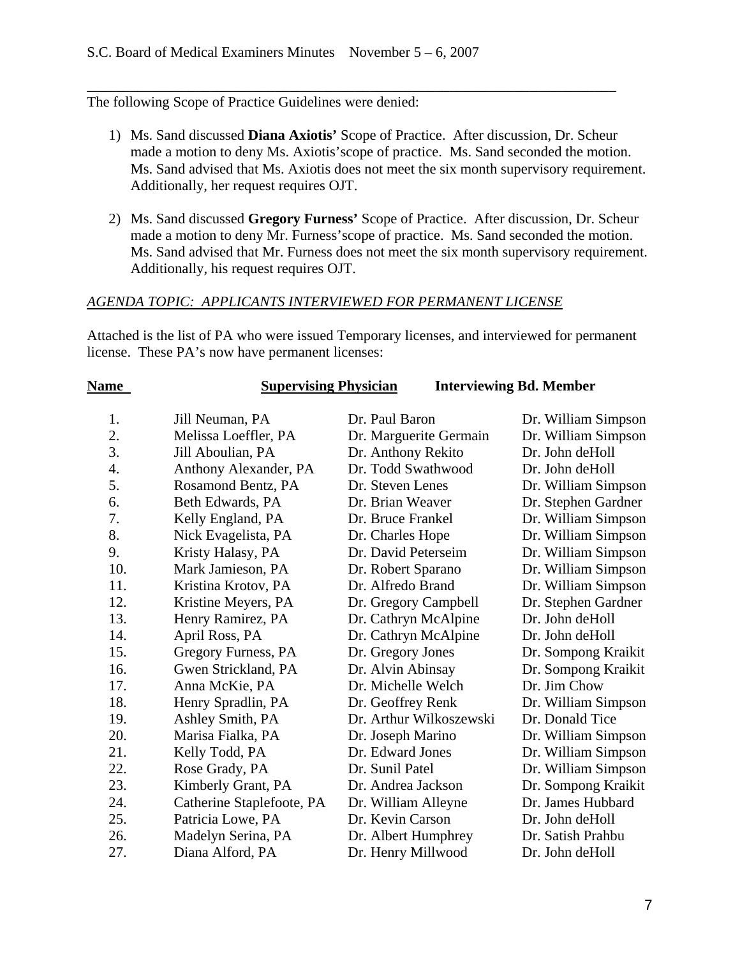## The following Scope of Practice Guidelines were denied:

1) Ms. Sand discussed **Diana Axiotis'** Scope of Practice. After discussion, Dr. Scheur made a motion to deny Ms. Axiotis'scope of practice. Ms. Sand seconded the motion. Ms. Sand advised that Ms. Axiotis does not meet the six month supervisory requirement. Additionally, her request requires OJT.

\_\_\_\_\_\_\_\_\_\_\_\_\_\_\_\_\_\_\_\_\_\_\_\_\_\_\_\_\_\_\_\_\_\_\_\_\_\_\_\_\_\_\_\_\_\_\_\_\_\_\_\_\_\_\_\_\_\_\_\_\_\_\_\_\_\_\_\_\_\_\_\_\_

2) Ms. Sand discussed **Gregory Furness'** Scope of Practice. After discussion, Dr. Scheur made a motion to deny Mr. Furness'scope of practice. Ms. Sand seconded the motion. Ms. Sand advised that Mr. Furness does not meet the six month supervisory requirement. Additionally, his request requires OJT.

### *AGENDA TOPIC: APPLICANTS INTERVIEWED FOR PERMANENT LICENSE*

Attached is the list of PA who were issued Temporary licenses, and interviewed for permanent license. These PA's now have permanent licenses:

| <b>Name</b>      | <b>Supervising Physician</b> |                         | <b>Interviewing Bd. Member</b> |
|------------------|------------------------------|-------------------------|--------------------------------|
| 1.               | Jill Neuman, PA              | Dr. Paul Baron          | Dr. William Simpson            |
| 2.               | Melissa Loeffler, PA         | Dr. Marguerite Germain  | Dr. William Simpson            |
| 3.               | Jill Aboulian, PA            | Dr. Anthony Rekito      | Dr. John deHoll                |
| $\overline{4}$ . | Anthony Alexander, PA        | Dr. Todd Swathwood      | Dr. John deHoll                |
| 5.               | Rosamond Bentz, PA           | Dr. Steven Lenes        | Dr. William Simpson            |
| 6.               | Beth Edwards, PA             | Dr. Brian Weaver        | Dr. Stephen Gardner            |
| 7.               | Kelly England, PA            | Dr. Bruce Frankel       | Dr. William Simpson            |
| 8.               | Nick Evagelista, PA          | Dr. Charles Hope        | Dr. William Simpson            |
| 9.               | Kristy Halasy, PA            | Dr. David Peterseim     | Dr. William Simpson            |
| 10.              | Mark Jamieson, PA            | Dr. Robert Sparano      | Dr. William Simpson            |
| 11.              | Kristina Krotov, PA          | Dr. Alfredo Brand       | Dr. William Simpson            |
| 12.              | Kristine Meyers, PA          | Dr. Gregory Campbell    | Dr. Stephen Gardner            |
| 13.              | Henry Ramirez, PA            | Dr. Cathryn McAlpine    | Dr. John deHoll                |
| 14.              | April Ross, PA               | Dr. Cathryn McAlpine    | Dr. John deHoll                |
| 15.              | Gregory Furness, PA          | Dr. Gregory Jones       | Dr. Sompong Kraikit            |
| 16.              | Gwen Strickland, PA          | Dr. Alvin Abinsay       | Dr. Sompong Kraikit            |
| 17.              | Anna McKie, PA               | Dr. Michelle Welch      | Dr. Jim Chow                   |
| 18.              | Henry Spradlin, PA           | Dr. Geoffrey Renk       | Dr. William Simpson            |
| 19.              | Ashley Smith, PA             | Dr. Arthur Wilkoszewski | Dr. Donald Tice                |
| 20.              | Marisa Fialka, PA            | Dr. Joseph Marino       | Dr. William Simpson            |
| 21.              | Kelly Todd, PA               | Dr. Edward Jones        | Dr. William Simpson            |
| 22.              | Rose Grady, PA               | Dr. Sunil Patel         | Dr. William Simpson            |
| 23.              | Kimberly Grant, PA           | Dr. Andrea Jackson      | Dr. Sompong Kraikit            |
| 24.              | Catherine Staplefoote, PA    | Dr. William Alleyne     | Dr. James Hubbard              |
| 25.              | Patricia Lowe, PA            | Dr. Kevin Carson        | Dr. John deHoll                |
| 26.              | Madelyn Serina, PA           | Dr. Albert Humphrey     | Dr. Satish Prahbu              |
| 27.              | Diana Alford, PA             | Dr. Henry Millwood      | Dr. John deHoll                |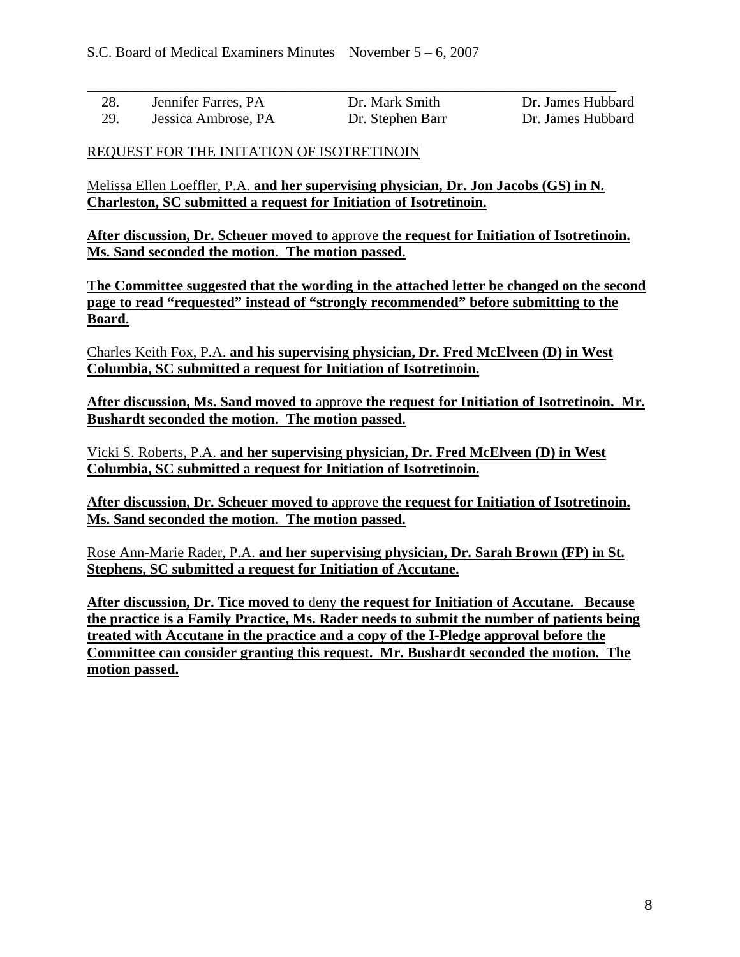| 28. | Jennifer Farres, PA | Dr. Mark Smith   | Dr. James Hubbard |
|-----|---------------------|------------------|-------------------|
| 29. | Jessica Ambrose, PA | Dr. Stephen Barr | Dr. James Hubbard |

### REQUEST FOR THE INITATION OF ISOTRETINOIN

Melissa Ellen Loeffler, P.A. **and her supervising physician, Dr. Jon Jacobs (GS) in N. Charleston, SC submitted a request for Initiation of Isotretinoin.** 

**After discussion, Dr. Scheuer moved to** approve **the request for Initiation of Isotretinoin. Ms. Sand seconded the motion. The motion passed.** 

**The Committee suggested that the wording in the attached letter be changed on the second page to read "requested" instead of "strongly recommended" before submitting to the Board.**

Charles Keith Fox, P.A. **and his supervising physician, Dr. Fred McElveen (D) in West Columbia, SC submitted a request for Initiation of Isotretinoin.** 

**After discussion, Ms. Sand moved to** approve **the request for Initiation of Isotretinoin. Mr. Bushardt seconded the motion. The motion passed.** 

Vicki S. Roberts, P.A. **and her supervising physician, Dr. Fred McElveen (D) in West Columbia, SC submitted a request for Initiation of Isotretinoin.** 

**After discussion, Dr. Scheuer moved to** approve **the request for Initiation of Isotretinoin. Ms. Sand seconded the motion. The motion passed.** 

Rose Ann-Marie Rader, P.A. **and her supervising physician, Dr. Sarah Brown (FP) in St. Stephens, SC submitted a request for Initiation of Accutane.** 

**After discussion, Dr. Tice moved to** deny **the request for Initiation of Accutane. Because the practice is a Family Practice, Ms. Rader needs to submit the number of patients being treated with Accutane in the practice and a copy of the I-Pledge approval before the Committee can consider granting this request. Mr. Bushardt seconded the motion. The motion passed.**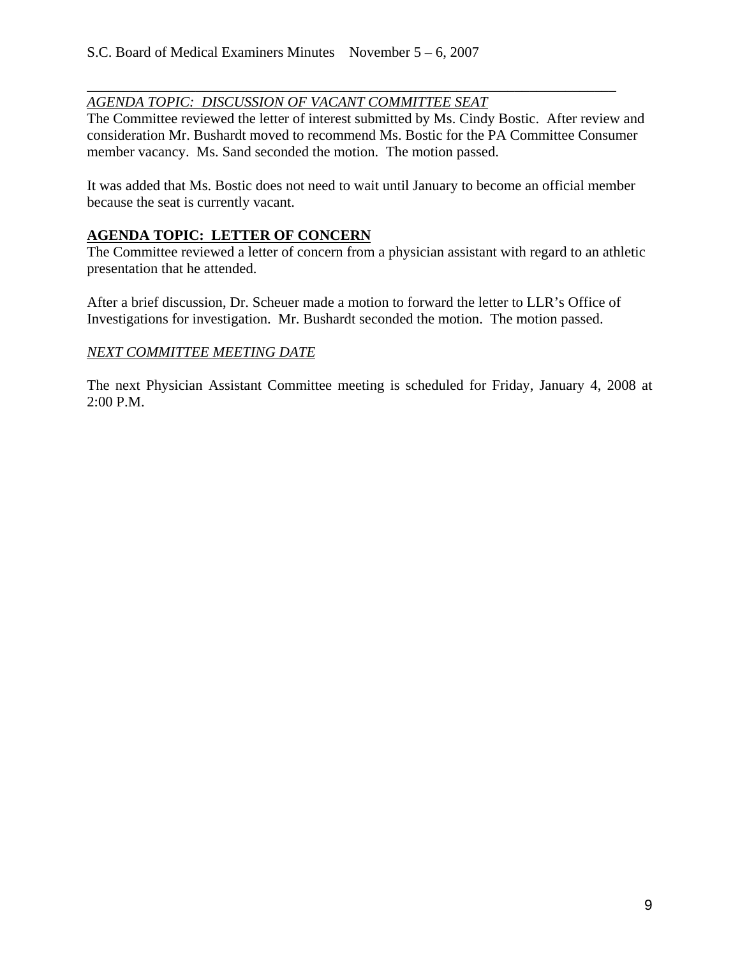### *AGENDA TOPIC: DISCUSSION OF VACANT COMMITTEE SEAT*

The Committee reviewed the letter of interest submitted by Ms. Cindy Bostic. After review and consideration Mr. Bushardt moved to recommend Ms. Bostic for the PA Committee Consumer member vacancy. Ms. Sand seconded the motion. The motion passed.

\_\_\_\_\_\_\_\_\_\_\_\_\_\_\_\_\_\_\_\_\_\_\_\_\_\_\_\_\_\_\_\_\_\_\_\_\_\_\_\_\_\_\_\_\_\_\_\_\_\_\_\_\_\_\_\_\_\_\_\_\_\_\_\_\_\_\_\_\_\_\_\_\_

It was added that Ms. Bostic does not need to wait until January to become an official member because the seat is currently vacant.

### **AGENDA TOPIC: LETTER OF CONCERN**

The Committee reviewed a letter of concern from a physician assistant with regard to an athletic presentation that he attended.

After a brief discussion, Dr. Scheuer made a motion to forward the letter to LLR's Office of Investigations for investigation. Mr. Bushardt seconded the motion. The motion passed.

### *NEXT COMMITTEE MEETING DATE*

The next Physician Assistant Committee meeting is scheduled for Friday, January 4, 2008 at 2:00 P.M.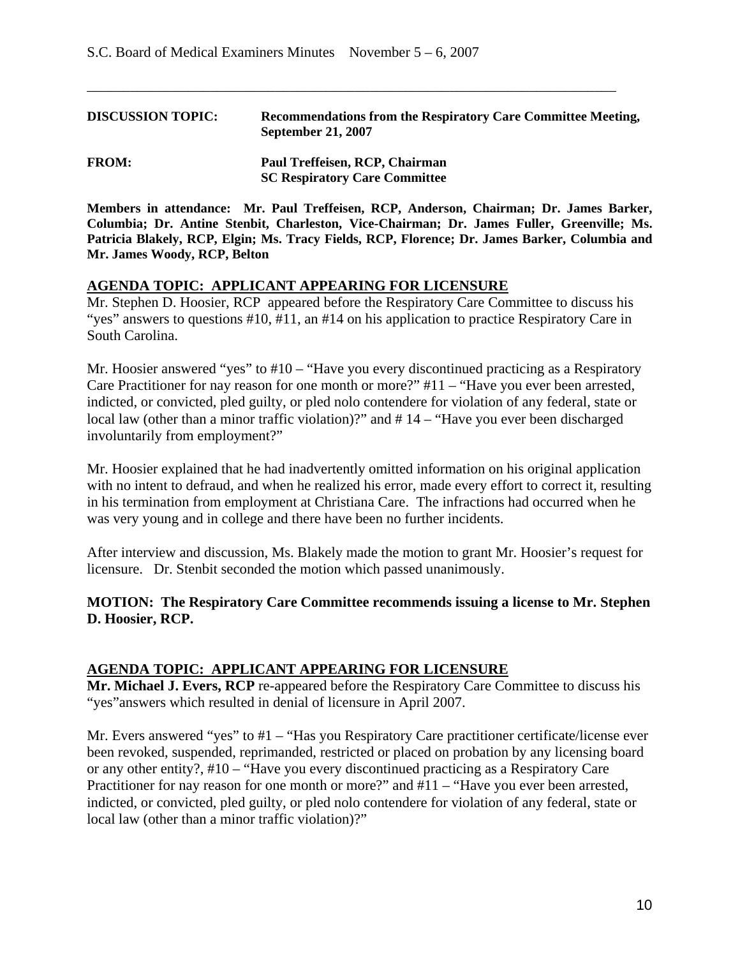| <b>DISCUSSION TOPIC:</b> | Recommendations from the Respiratory Care Committee Meeting,<br><b>September 21, 2007</b> |
|--------------------------|-------------------------------------------------------------------------------------------|
| <b>FROM:</b>             | Paul Treffeisen, RCP, Chairman<br><b>SC Respiratory Care Committee</b>                    |

\_\_\_\_\_\_\_\_\_\_\_\_\_\_\_\_\_\_\_\_\_\_\_\_\_\_\_\_\_\_\_\_\_\_\_\_\_\_\_\_\_\_\_\_\_\_\_\_\_\_\_\_\_\_\_\_\_\_\_\_\_\_\_\_\_\_\_\_\_\_\_\_\_

**Members in attendance: Mr. Paul Treffeisen, RCP, Anderson, Chairman; Dr. James Barker, Columbia; Dr. Antine Stenbit, Charleston, Vice-Chairman; Dr. James Fuller, Greenville; Ms. Patricia Blakely, RCP, Elgin; Ms. Tracy Fields, RCP, Florence; Dr. James Barker, Columbia and Mr. James Woody, RCP, Belton** 

#### **AGENDA TOPIC: APPLICANT APPEARING FOR LICENSURE**

Mr. Stephen D. Hoosier, RCP appeared before the Respiratory Care Committee to discuss his "yes" answers to questions #10, #11, an #14 on his application to practice Respiratory Care in South Carolina.

Mr. Hoosier answered "yes" to #10 – "Have you every discontinued practicing as a Respiratory Care Practitioner for nay reason for one month or more?" #11 – "Have you ever been arrested, indicted, or convicted, pled guilty, or pled nolo contendere for violation of any federal, state or local law (other than a minor traffic violation)?" and #14 – "Have you ever been discharged involuntarily from employment?"

Mr. Hoosier explained that he had inadvertently omitted information on his original application with no intent to defraud, and when he realized his error, made every effort to correct it, resulting in his termination from employment at Christiana Care. The infractions had occurred when he was very young and in college and there have been no further incidents.

After interview and discussion, Ms. Blakely made the motion to grant Mr. Hoosier's request for licensure. Dr. Stenbit seconded the motion which passed unanimously.

### **MOTION: The Respiratory Care Committee recommends issuing a license to Mr. Stephen D. Hoosier, RCP.**

### **AGENDA TOPIC: APPLICANT APPEARING FOR LICENSURE**

**Mr. Michael J. Evers, RCP** re-appeared before the Respiratory Care Committee to discuss his "yes"answers which resulted in denial of licensure in April 2007.

Mr. Evers answered "yes" to #1 – "Has you Respiratory Care practitioner certificate/license ever been revoked, suspended, reprimanded, restricted or placed on probation by any licensing board or any other entity?, #10 – "Have you every discontinued practicing as a Respiratory Care Practitioner for nay reason for one month or more?" and  $#11 - "Have$  you ever been arrested, indicted, or convicted, pled guilty, or pled nolo contendere for violation of any federal, state or local law (other than a minor traffic violation)?"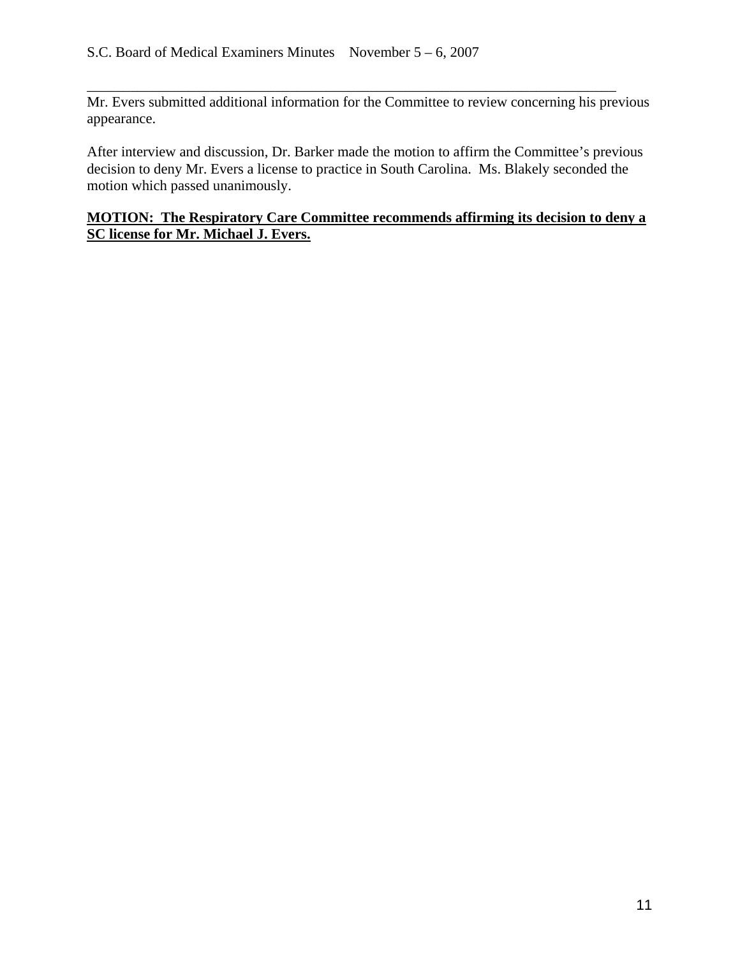Mr. Evers submitted additional information for the Committee to review concerning his previous appearance.

\_\_\_\_\_\_\_\_\_\_\_\_\_\_\_\_\_\_\_\_\_\_\_\_\_\_\_\_\_\_\_\_\_\_\_\_\_\_\_\_\_\_\_\_\_\_\_\_\_\_\_\_\_\_\_\_\_\_\_\_\_\_\_\_\_\_\_\_\_\_\_\_\_

After interview and discussion, Dr. Barker made the motion to affirm the Committee's previous decision to deny Mr. Evers a license to practice in South Carolina. Ms. Blakely seconded the motion which passed unanimously.

## **MOTION: The Respiratory Care Committee recommends affirming its decision to deny a SC license for Mr. Michael J. Evers.**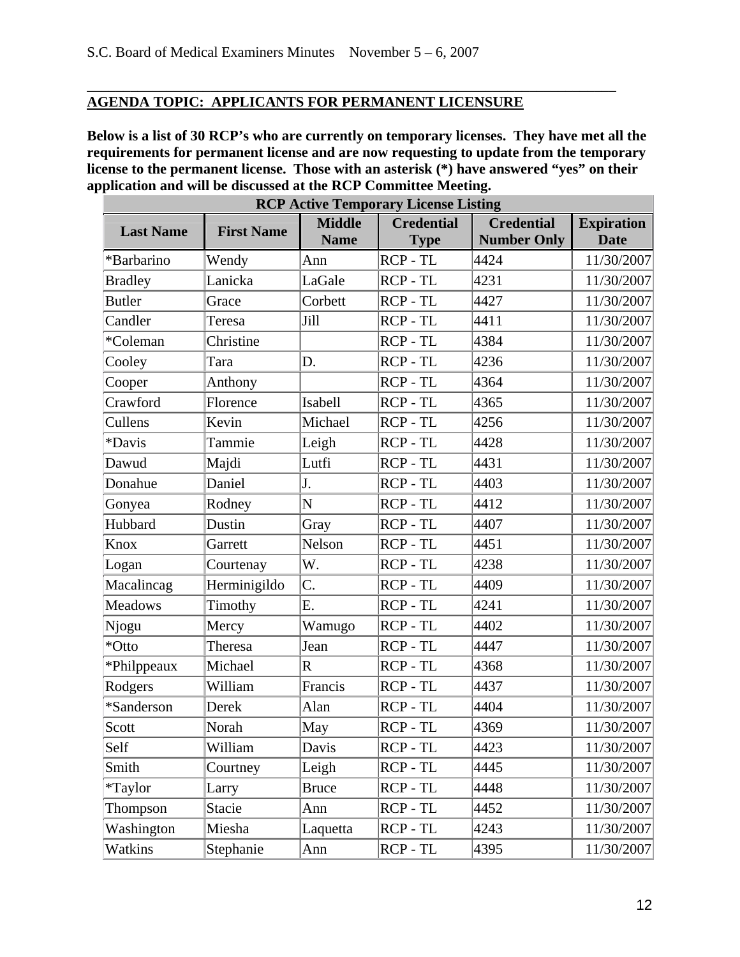# **AGENDA TOPIC: APPLICANTS FOR PERMANENT LICENSURE**

**Below is a list of 30 RCP's who are currently on temporary licenses. They have met all the requirements for permanent license and are now requesting to update from the temporary license to the permanent license. Those with an asterisk (\*) have answered "yes" on their application and will be discussed at the RCP Committee Meeting.** 

\_\_\_\_\_\_\_\_\_\_\_\_\_\_\_\_\_\_\_\_\_\_\_\_\_\_\_\_\_\_\_\_\_\_\_\_\_\_\_\_\_\_\_\_\_\_\_\_\_\_\_\_\_\_\_\_\_\_\_\_\_\_\_\_\_\_\_\_\_\_\_\_\_

|                  |                   |                              | <b>RCP Active Temporary License Listing</b> |                                         |                                  |
|------------------|-------------------|------------------------------|---------------------------------------------|-----------------------------------------|----------------------------------|
| <b>Last Name</b> | <b>First Name</b> | <b>Middle</b><br><b>Name</b> | <b>Credential</b><br><b>Type</b>            | <b>Credential</b><br><b>Number Only</b> | <b>Expiration</b><br><b>Date</b> |
| *Barbarino       | Wendy             | Ann                          | RCP-TL                                      | 4424                                    | 11/30/2007                       |
| <b>Bradley</b>   | Lanicka           | LaGale                       | RCP-TL                                      | 4231                                    | 11/30/2007                       |
| <b>Butler</b>    | Grace             | Corbett                      | RCP-TL                                      | 4427                                    | 11/30/2007                       |
| Candler          | Teresa            | Jill                         | RCP-TL                                      | 4411                                    | 11/30/2007                       |
| *Coleman         | Christine         |                              | RCP-TL                                      | 4384                                    | 11/30/2007                       |
| Cooley           | Tara              | D.                           | RCP - TL                                    | 4236                                    | 11/30/2007                       |
| Cooper           | Anthony           |                              | RCP-TL                                      | 4364                                    | 11/30/2007                       |
| Crawford         | Florence          | Isabell                      | RCP-TL                                      | 4365                                    | 11/30/2007                       |
| Cullens          | Kevin             | Michael                      | RCP - TL                                    | 4256                                    | 11/30/2007                       |
| *Davis           | Tammie            | Leigh                        | RCP-TL                                      | 4428                                    | 11/30/2007                       |
| Dawud            | Majdi             | Lutfi                        | RCP-TL                                      | 4431                                    | 11/30/2007                       |
| Donahue          | Daniel            | J.                           | RCP-TL                                      | 4403                                    | 11/30/2007                       |
| Gonyea           | Rodney            | N                            | RCP-TL                                      | 4412                                    | 11/30/2007                       |
| Hubbard          | Dustin            | Gray                         | RCP-TL                                      | 4407                                    | 11/30/2007                       |
| Knox             | Garrett           | Nelson                       | RCP-TL                                      | 4451                                    | 11/30/2007                       |
| Logan            | Courtenay         | W.                           | RCP - TL                                    | 4238                                    | 11/30/2007                       |
| Macalincag       | Herminigildo      | C.                           | RCP-TL                                      | 4409                                    | 11/30/2007                       |
| <b>Meadows</b>   | Timothy           | E.                           | RCP-TL                                      | 4241                                    | 11/30/2007                       |
| Njogu            | Mercy             | Wamugo                       | RCP-TL                                      | 4402                                    | 11/30/2007                       |
| *Otto            | Theresa           | Jean                         | RCP-TL                                      | 4447                                    | 11/30/2007                       |
| *Philppeaux      | Michael           | $\overline{\mathrm{R}}$      | RCP - TL                                    | 4368                                    | 11/30/2007                       |
| Rodgers          | William           | Francis                      | RCP-TL                                      | 4437                                    | 11/30/2007                       |
| *Sanderson       | Derek             | Alan                         | RCP-TL                                      | 4404                                    | 11/30/2007                       |
| Scott            | Norah             | May                          | RCP-TL                                      | 4369                                    | 11/30/2007                       |
| Self             | William           | Davis                        | RCP - TL                                    | 4423                                    | 11/30/2007                       |
| Smith            | Courtney          | Leigh                        | RCP - TL                                    | 4445                                    | 11/30/2007                       |
| <i>*</i> Taylor  | Larry             | <b>Bruce</b>                 | RCP - TL                                    | 4448                                    | 11/30/2007                       |
| Thompson         | Stacie            | Ann                          | RCP - TL                                    | 4452                                    | 11/30/2007                       |
| Washington       | Miesha            | Laquetta                     | RCP - TL                                    | 4243                                    | 11/30/2007                       |
| Watkins          | Stephanie         | Ann                          | RCP-TL                                      | 4395                                    | 11/30/2007                       |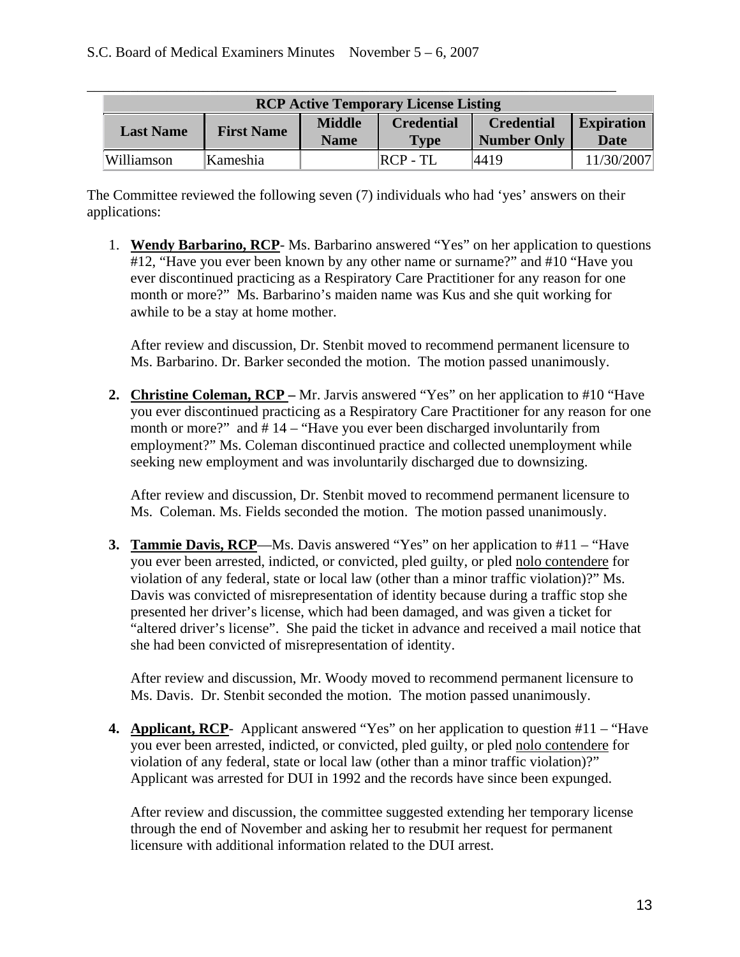|                  |                   |                              | <b>RCP Active Temporary License Listing</b> |                                         |                                  |
|------------------|-------------------|------------------------------|---------------------------------------------|-----------------------------------------|----------------------------------|
| <b>Last Name</b> | <b>First Name</b> | <b>Middle</b><br><b>Name</b> | <b>Credential</b><br><b>Type</b>            | <b>Credential</b><br><b>Number Only</b> | <b>Expiration</b><br><b>Date</b> |
| Williamson       | Kameshia          |                              | $RCP - TL$                                  | 4419                                    | 11/30/2007                       |

The Committee reviewed the following seven (7) individuals who had 'yes' answers on their applications:

1. **Wendy Barbarino, RCP**- Ms. Barbarino answered "Yes" on her application to questions #12, "Have you ever been known by any other name or surname?" and #10 "Have you ever discontinued practicing as a Respiratory Care Practitioner for any reason for one month or more?" Ms. Barbarino's maiden name was Kus and she quit working for awhile to be a stay at home mother.

After review and discussion, Dr. Stenbit moved to recommend permanent licensure to Ms. Barbarino. Dr. Barker seconded the motion. The motion passed unanimously.

**2. Christine Coleman, RCP –** Mr. Jarvis answered "Yes" on her application to #10 "Have you ever discontinued practicing as a Respiratory Care Practitioner for any reason for one month or more?" and #14 – "Have you ever been discharged involuntarily from employment?" Ms. Coleman discontinued practice and collected unemployment while seeking new employment and was involuntarily discharged due to downsizing.

After review and discussion, Dr. Stenbit moved to recommend permanent licensure to Ms. Coleman. Ms. Fields seconded the motion. The motion passed unanimously.

**3. Tammie Davis, RCP—Ms.** Davis answered "Yes" on her application to #11 – "Have you ever been arrested, indicted, or convicted, pled guilty, or pled nolo contendere for violation of any federal, state or local law (other than a minor traffic violation)?" Ms. Davis was convicted of misrepresentation of identity because during a traffic stop she presented her driver's license, which had been damaged, and was given a ticket for "altered driver's license". She paid the ticket in advance and received a mail notice that she had been convicted of misrepresentation of identity.

After review and discussion, Mr. Woody moved to recommend permanent licensure to Ms. Davis. Dr. Stenbit seconded the motion. The motion passed unanimously.

**4. Applicant, RCP**- Applicant answered "Yes" on her application to question #11 – "Have you ever been arrested, indicted, or convicted, pled guilty, or pled nolo contendere for violation of any federal, state or local law (other than a minor traffic violation)?" Applicant was arrested for DUI in 1992 and the records have since been expunged.

After review and discussion, the committee suggested extending her temporary license through the end of November and asking her to resubmit her request for permanent licensure with additional information related to the DUI arrest.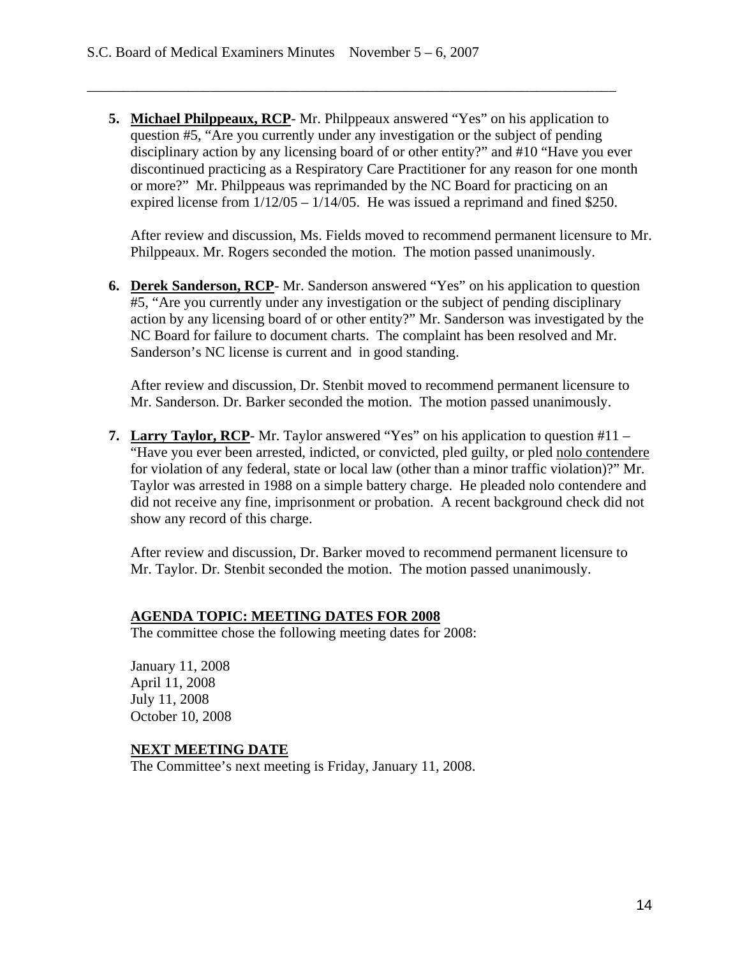**5. Michael Philppeaux, RCP**- Mr. Philppeaux answered "Yes" on his application to question #5, "Are you currently under any investigation or the subject of pending disciplinary action by any licensing board of or other entity?" and #10 "Have you ever discontinued practicing as a Respiratory Care Practitioner for any reason for one month or more?" Mr. Philppeaus was reprimanded by the NC Board for practicing on an expired license from  $1/12/05 - 1/14/05$ . He was issued a reprimand and fined \$250.

\_\_\_\_\_\_\_\_\_\_\_\_\_\_\_\_\_\_\_\_\_\_\_\_\_\_\_\_\_\_\_\_\_\_\_\_\_\_\_\_\_\_\_\_\_\_\_\_\_\_\_\_\_\_\_\_\_\_\_\_\_\_\_\_\_\_\_\_\_\_\_\_\_

After review and discussion, Ms. Fields moved to recommend permanent licensure to Mr. Philppeaux. Mr. Rogers seconded the motion. The motion passed unanimously.

**6. Derek Sanderson, RCP**- Mr. Sanderson answered "Yes" on his application to question #5, "Are you currently under any investigation or the subject of pending disciplinary action by any licensing board of or other entity?" Mr. Sanderson was investigated by the NC Board for failure to document charts. The complaint has been resolved and Mr. Sanderson's NC license is current and in good standing.

After review and discussion, Dr. Stenbit moved to recommend permanent licensure to Mr. Sanderson. Dr. Barker seconded the motion. The motion passed unanimously.

**7. Larry Taylor, RCP**- Mr. Taylor answered "Yes" on his application to question #11 – "Have you ever been arrested, indicted, or convicted, pled guilty, or pled nolo contendere for violation of any federal, state or local law (other than a minor traffic violation)?" Mr. Taylor was arrested in 1988 on a simple battery charge. He pleaded nolo contendere and did not receive any fine, imprisonment or probation. A recent background check did not show any record of this charge.

After review and discussion, Dr. Barker moved to recommend permanent licensure to Mr. Taylor. Dr. Stenbit seconded the motion. The motion passed unanimously.

### **AGENDA TOPIC: MEETING DATES FOR 2008**

The committee chose the following meeting dates for 2008:

January 11, 2008 April 11, 2008 July 11, 2008 October 10, 2008

### **NEXT MEETING DATE**

The Committee's next meeting is Friday, January 11, 2008.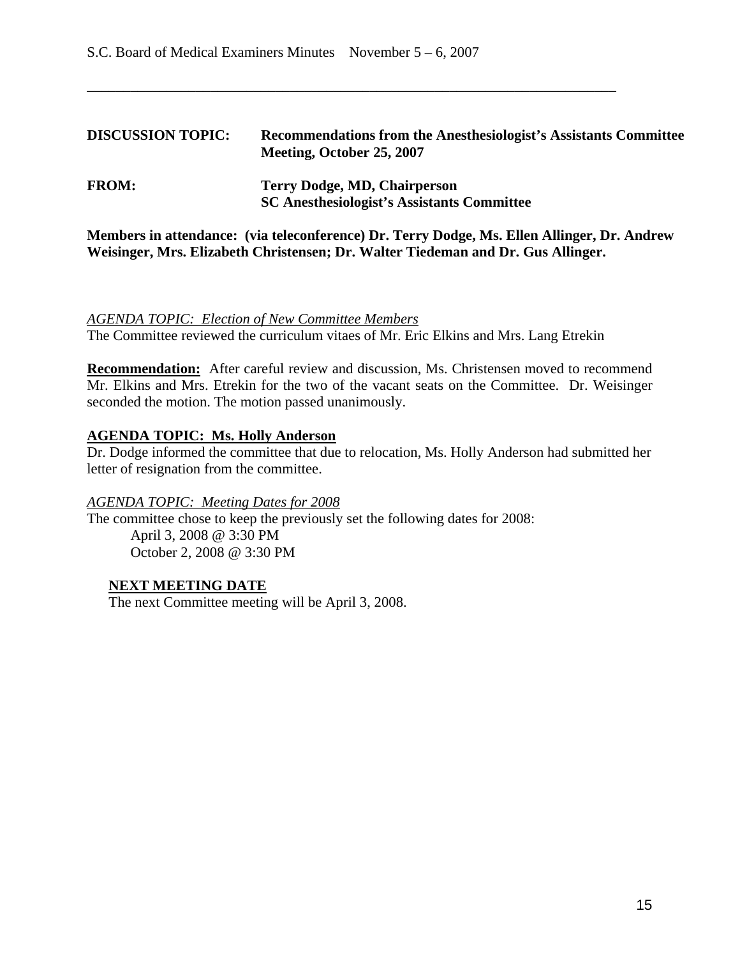| <b>DISCUSSION TOPIC:</b> | <b>Recommendations from the Anesthesiologist's Assistants Committee</b><br>Meeting, October 25, 2007 |
|--------------------------|------------------------------------------------------------------------------------------------------|
| <b>FROM:</b>             | Terry Dodge, MD, Chairperson<br><b>SC Anesthesiologist's Assistants Committee</b>                    |

\_\_\_\_\_\_\_\_\_\_\_\_\_\_\_\_\_\_\_\_\_\_\_\_\_\_\_\_\_\_\_\_\_\_\_\_\_\_\_\_\_\_\_\_\_\_\_\_\_\_\_\_\_\_\_\_\_\_\_\_\_\_\_\_\_\_\_\_\_\_\_\_\_

**Members in attendance: (via teleconference) Dr. Terry Dodge, Ms. Ellen Allinger, Dr. Andrew Weisinger, Mrs. Elizabeth Christensen; Dr. Walter Tiedeman and Dr. Gus Allinger.**

#### *AGENDA TOPIC: Election of New Committee Members*

The Committee reviewed the curriculum vitaes of Mr. Eric Elkins and Mrs. Lang Etrekin

**Recommendation:** After careful review and discussion, Ms. Christensen moved to recommend Mr. Elkins and Mrs. Etrekin for the two of the vacant seats on the Committee. Dr. Weisinger seconded the motion. The motion passed unanimously.

### **AGENDA TOPIC: Ms. Holly Anderson**

Dr. Dodge informed the committee that due to relocation, Ms. Holly Anderson had submitted her letter of resignation from the committee.

#### *AGENDA TOPIC: Meeting Dates for 2008*

The committee chose to keep the previously set the following dates for 2008: April 3, 2008 @ 3:30 PM October 2, 2008 @ 3:30 PM

### **NEXT MEETING DATE**

The next Committee meeting will be April 3, 2008.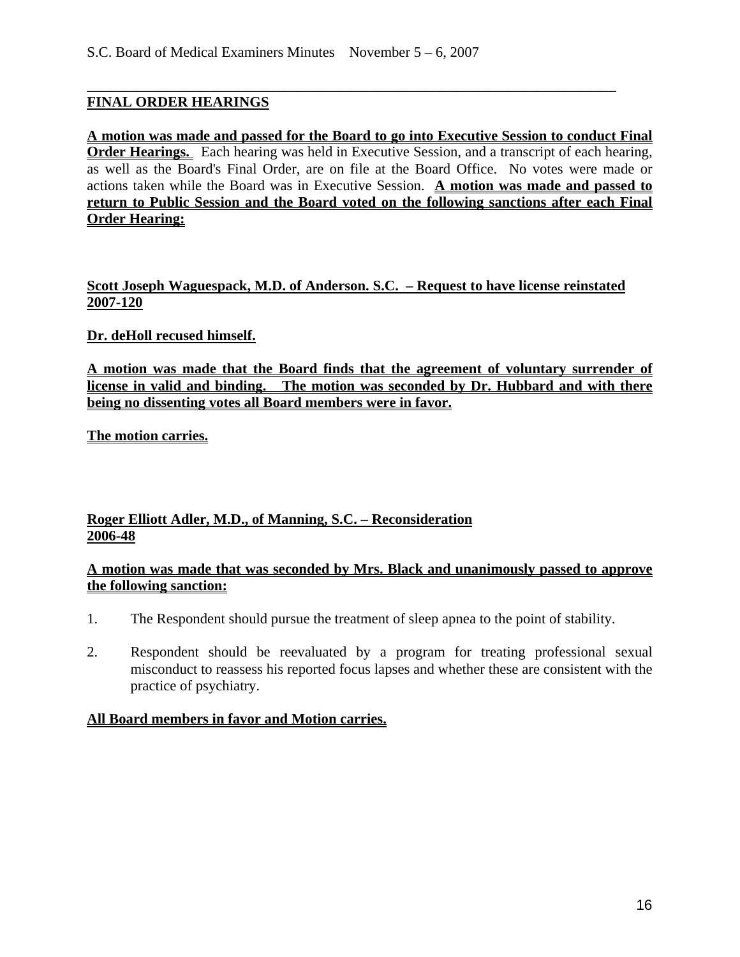## **FINAL ORDER HEARINGS**

**A motion was made and passed for the Board to go into Executive Session to conduct Final Order Hearings.** Each hearing was held in Executive Session, and a transcript of each hearing, as well as the Board's Final Order, are on file at the Board Office. No votes were made or actions taken while the Board was in Executive Session. **A motion was made and passed to return to Public Session and the Board voted on the following sanctions after each Final Order Hearing:**

\_\_\_\_\_\_\_\_\_\_\_\_\_\_\_\_\_\_\_\_\_\_\_\_\_\_\_\_\_\_\_\_\_\_\_\_\_\_\_\_\_\_\_\_\_\_\_\_\_\_\_\_\_\_\_\_\_\_\_\_\_\_\_\_\_\_\_\_\_\_\_\_\_

### **Scott Joseph Waguespack, M.D. of Anderson. S.C. – Request to have license reinstated 2007-120**

## **Dr. deHoll recused himself.**

**A motion was made that the Board finds that the agreement of voluntary surrender of license in valid and binding. The motion was seconded by Dr. Hubbard and with there being no dissenting votes all Board members were in favor.** 

**The motion carries.**

### **Roger Elliott Adler, M.D., of Manning, S.C. – Reconsideration 2006-48**

### **A motion was made that was seconded by Mrs. Black and unanimously passed to approve the following sanction:**

- 1. The Respondent should pursue the treatment of sleep apnea to the point of stability.
- 2. Respondent should be reevaluated by a program for treating professional sexual misconduct to reassess his reported focus lapses and whether these are consistent with the practice of psychiatry.

### **All Board members in favor and Motion carries.**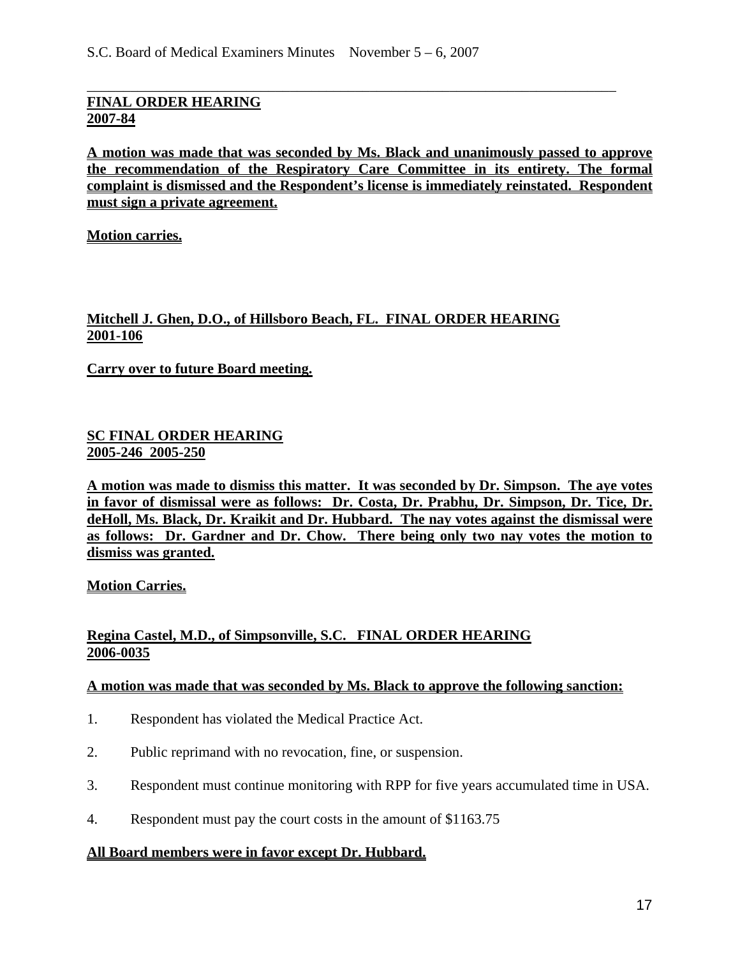### **FINAL ORDER HEARING 2007-84**

**A motion was made that was seconded by Ms. Black and unanimously passed to approve the recommendation of the Respiratory Care Committee in its entirety. The formal complaint is dismissed and the Respondent's license is immediately reinstated. Respondent must sign a private agreement.**

\_\_\_\_\_\_\_\_\_\_\_\_\_\_\_\_\_\_\_\_\_\_\_\_\_\_\_\_\_\_\_\_\_\_\_\_\_\_\_\_\_\_\_\_\_\_\_\_\_\_\_\_\_\_\_\_\_\_\_\_\_\_\_\_\_\_\_\_\_\_\_\_\_

**Motion carries.**

## **Mitchell J. Ghen, D.O., of Hillsboro Beach, FL. FINAL ORDER HEARING 2001-106**

**Carry over to future Board meeting.**

#### **SC FINAL ORDER HEARING 2005-246 2005-250**

**A motion was made to dismiss this matter. It was seconded by Dr. Simpson. The aye votes in favor of dismissal were as follows: Dr. Costa, Dr. Prabhu, Dr. Simpson, Dr. Tice, Dr. deHoll, Ms. Black, Dr. Kraikit and Dr. Hubbard. The nay votes against the dismissal were as follows: Dr. Gardner and Dr. Chow. There being only two nay votes the motion to dismiss was granted.**

**Motion Carries.**

### **Regina Castel, M.D., of Simpsonville, S.C. FINAL ORDER HEARING 2006-0035**

#### **A motion was made that was seconded by Ms. Black to approve the following sanction:**

- 1. Respondent has violated the Medical Practice Act.
- 2. Public reprimand with no revocation, fine, or suspension.
- 3. Respondent must continue monitoring with RPP for five years accumulated time in USA.
- 4. Respondent must pay the court costs in the amount of \$1163.75

### **All Board members were in favor except Dr. Hubbard.**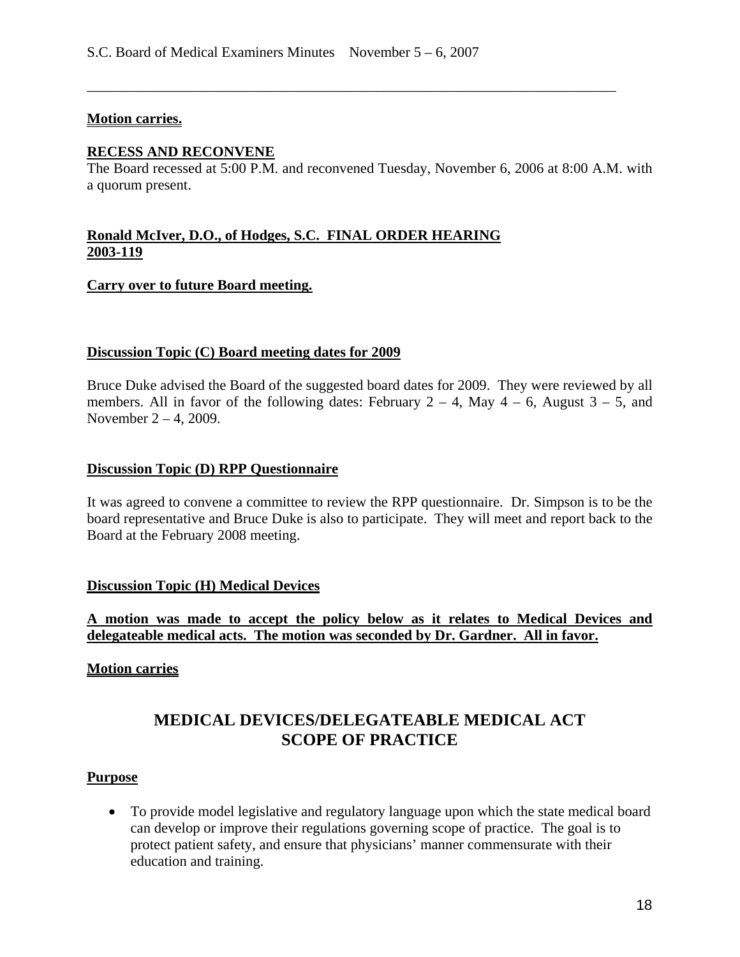#### **Motion carries.**

#### **RECESS AND RECONVENE**

The Board recessed at 5:00 P.M. and reconvened Tuesday, November 6, 2006 at 8:00 A.M. with a quorum present.

\_\_\_\_\_\_\_\_\_\_\_\_\_\_\_\_\_\_\_\_\_\_\_\_\_\_\_\_\_\_\_\_\_\_\_\_\_\_\_\_\_\_\_\_\_\_\_\_\_\_\_\_\_\_\_\_\_\_\_\_\_\_\_\_\_\_\_\_\_\_\_\_\_

### **Ronald McIver, D.O., of Hodges, S.C. FINAL ORDER HEARING 2003-119**

#### **Carry over to future Board meeting.**

#### **Discussion Topic (C) Board meeting dates for 2009**

Bruce Duke advised the Board of the suggested board dates for 2009. They were reviewed by all members. All in favor of the following dates: February  $2 - 4$ , May  $4 - 6$ , August  $3 - 5$ , and November 2 – 4, 2009.

#### **Discussion Topic (D) RPP Questionnaire**

It was agreed to convene a committee to review the RPP questionnaire. Dr. Simpson is to be the board representative and Bruce Duke is also to participate. They will meet and report back to the Board at the February 2008 meeting.

#### **Discussion Topic (H) Medical Devices**

### **A motion was made to accept the policy below as it relates to Medical Devices and delegateable medical acts. The motion was seconded by Dr. Gardner. All in favor.**

#### **Motion carries**

# **MEDICAL DEVICES/DELEGATEABLE MEDICAL ACT SCOPE OF PRACTICE**

#### **Purpose**

• To provide model legislative and regulatory language upon which the state medical board can develop or improve their regulations governing scope of practice. The goal is to protect patient safety, and ensure that physicians' manner commensurate with their education and training.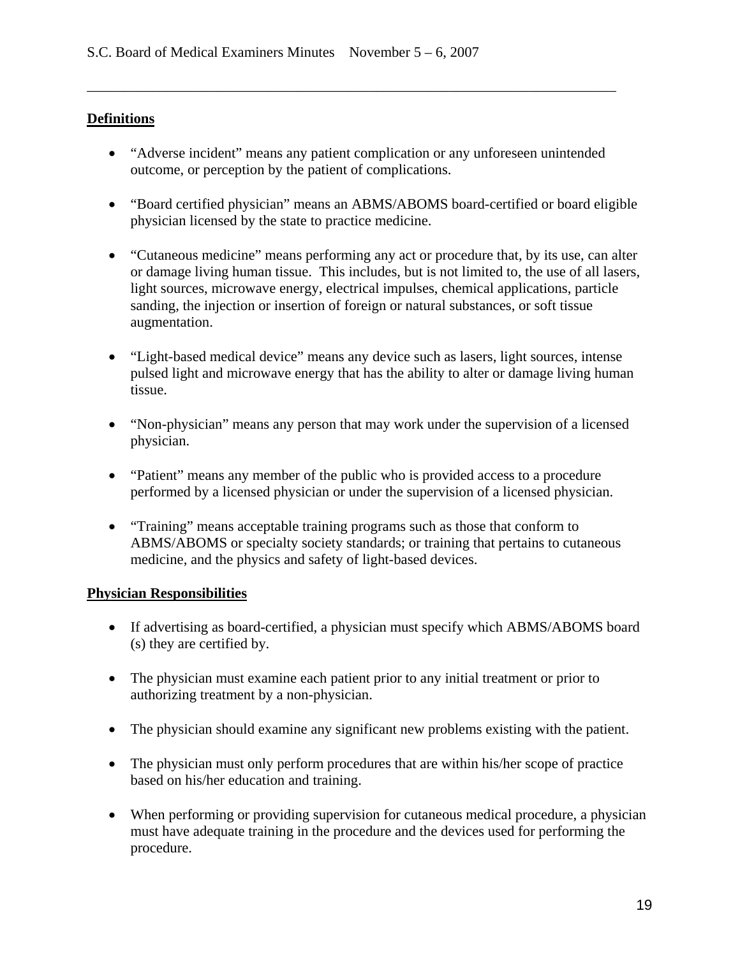## **Definitions**

• "Adverse incident" means any patient complication or any unforeseen unintended outcome, or perception by the patient of complications.

\_\_\_\_\_\_\_\_\_\_\_\_\_\_\_\_\_\_\_\_\_\_\_\_\_\_\_\_\_\_\_\_\_\_\_\_\_\_\_\_\_\_\_\_\_\_\_\_\_\_\_\_\_\_\_\_\_\_\_\_\_\_\_\_\_\_\_\_\_\_\_\_\_

- "Board certified physician" means an ABMS/ABOMS board-certified or board eligible physician licensed by the state to practice medicine.
- "Cutaneous medicine" means performing any act or procedure that, by its use, can alter or damage living human tissue. This includes, but is not limited to, the use of all lasers, light sources, microwave energy, electrical impulses, chemical applications, particle sanding, the injection or insertion of foreign or natural substances, or soft tissue augmentation.
- "Light-based medical device" means any device such as lasers, light sources, intense pulsed light and microwave energy that has the ability to alter or damage living human tissue.
- "Non-physician" means any person that may work under the supervision of a licensed physician.
- "Patient" means any member of the public who is provided access to a procedure performed by a licensed physician or under the supervision of a licensed physician.
- "Training" means acceptable training programs such as those that conform to ABMS/ABOMS or specialty society standards; or training that pertains to cutaneous medicine, and the physics and safety of light-based devices.

## **Physician Responsibilities**

- If advertising as board-certified, a physician must specify which ABMS/ABOMS board (s) they are certified by.
- The physician must examine each patient prior to any initial treatment or prior to authorizing treatment by a non-physician.
- The physician should examine any significant new problems existing with the patient.
- The physician must only perform procedures that are within his/her scope of practice based on his/her education and training.
- When performing or providing supervision for cutaneous medical procedure, a physician must have adequate training in the procedure and the devices used for performing the procedure.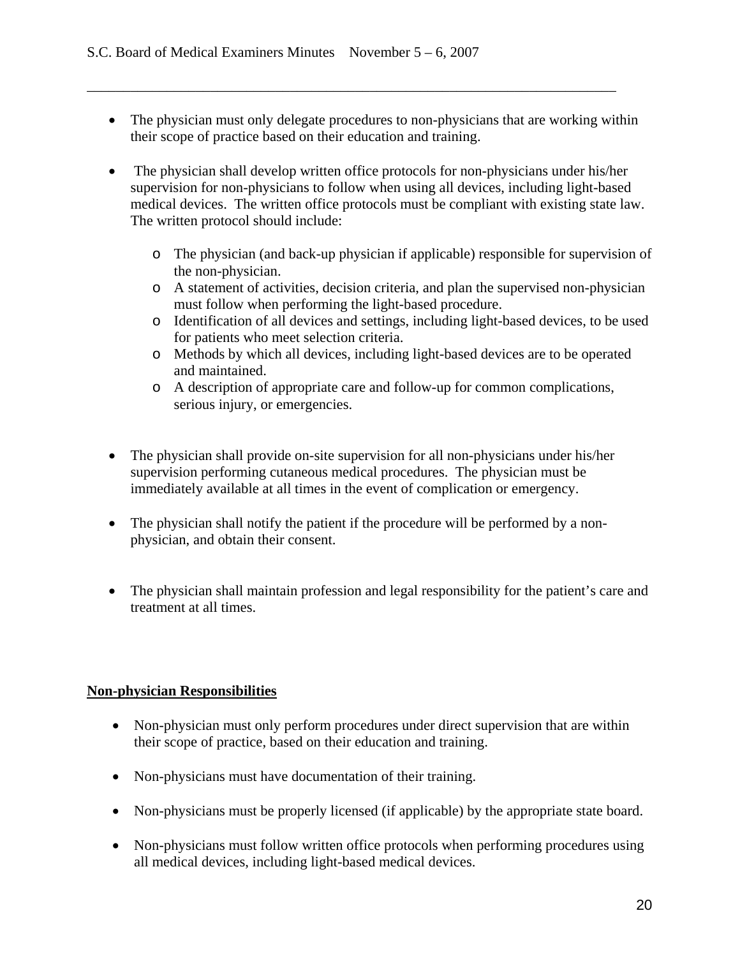• The physician must only delegate procedures to non-physicians that are working within their scope of practice based on their education and training.

\_\_\_\_\_\_\_\_\_\_\_\_\_\_\_\_\_\_\_\_\_\_\_\_\_\_\_\_\_\_\_\_\_\_\_\_\_\_\_\_\_\_\_\_\_\_\_\_\_\_\_\_\_\_\_\_\_\_\_\_\_\_\_\_\_\_\_\_\_\_\_\_\_

- The physician shall develop written office protocols for non-physicians under his/her supervision for non-physicians to follow when using all devices, including light-based medical devices. The written office protocols must be compliant with existing state law. The written protocol should include:
	- o The physician (and back-up physician if applicable) responsible for supervision of the non-physician.
	- o A statement of activities, decision criteria, and plan the supervised non-physician must follow when performing the light-based procedure.
	- o Identification of all devices and settings, including light-based devices, to be used for patients who meet selection criteria.
	- o Methods by which all devices, including light-based devices are to be operated and maintained.
	- o A description of appropriate care and follow-up for common complications, serious injury, or emergencies.
- The physician shall provide on-site supervision for all non-physicians under his/her supervision performing cutaneous medical procedures. The physician must be immediately available at all times in the event of complication or emergency.
- The physician shall notify the patient if the procedure will be performed by a nonphysician, and obtain their consent.
- The physician shall maintain profession and legal responsibility for the patient's care and treatment at all times.

## **Non-physician Responsibilities**

- Non-physician must only perform procedures under direct supervision that are within their scope of practice, based on their education and training.
- Non-physicians must have documentation of their training.
- Non-physicians must be properly licensed (if applicable) by the appropriate state board.
- Non-physicians must follow written office protocols when performing procedures using all medical devices, including light-based medical devices.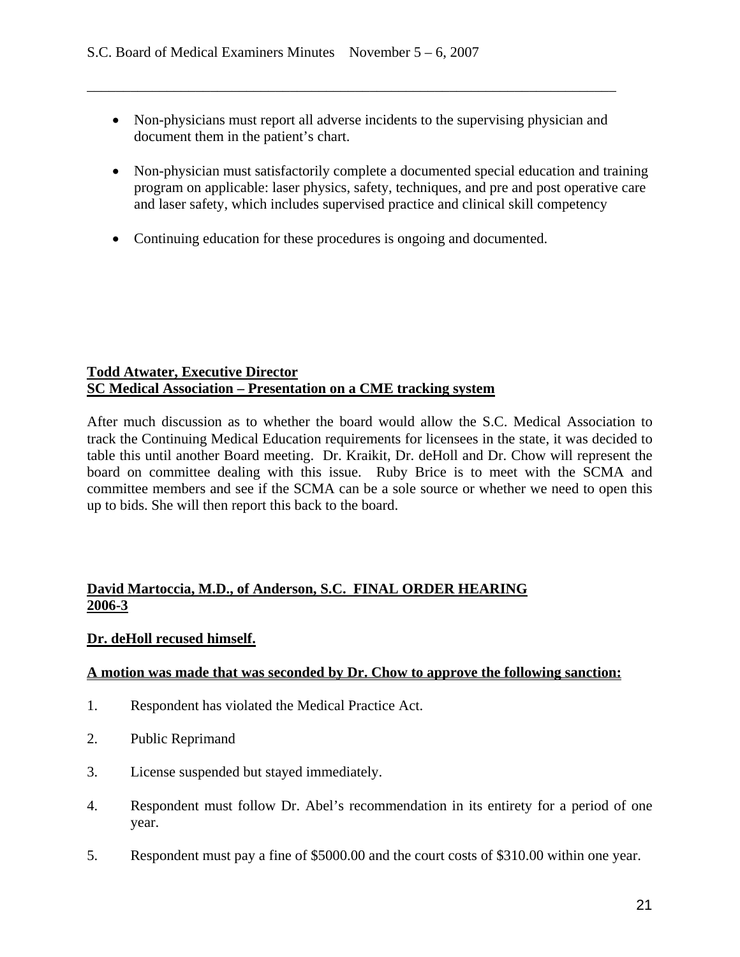• Non-physicians must report all adverse incidents to the supervising physician and document them in the patient's chart.

\_\_\_\_\_\_\_\_\_\_\_\_\_\_\_\_\_\_\_\_\_\_\_\_\_\_\_\_\_\_\_\_\_\_\_\_\_\_\_\_\_\_\_\_\_\_\_\_\_\_\_\_\_\_\_\_\_\_\_\_\_\_\_\_\_\_\_\_\_\_\_\_\_

- Non-physician must satisfactorily complete a documented special education and training program on applicable: laser physics, safety, techniques, and pre and post operative care and laser safety, which includes supervised practice and clinical skill competency
- Continuing education for these procedures is ongoing and documented.

### **Todd Atwater, Executive Director SC Medical Association – Presentation on a CME tracking system**

After much discussion as to whether the board would allow the S.C. Medical Association to track the Continuing Medical Education requirements for licensees in the state, it was decided to table this until another Board meeting. Dr. Kraikit, Dr. deHoll and Dr. Chow will represent the board on committee dealing with this issue. Ruby Brice is to meet with the SCMA and committee members and see if the SCMA can be a sole source or whether we need to open this up to bids. She will then report this back to the board.

## **David Martoccia, M.D., of Anderson, S.C. FINAL ORDER HEARING 2006-3**

## **Dr. deHoll recused himself.**

## **A motion was made that was seconded by Dr. Chow to approve the following sanction:**

- 1. Respondent has violated the Medical Practice Act.
- 2. Public Reprimand
- 3. License suspended but stayed immediately.
- 4. Respondent must follow Dr. Abel's recommendation in its entirety for a period of one year.
- 5. Respondent must pay a fine of \$5000.00 and the court costs of \$310.00 within one year.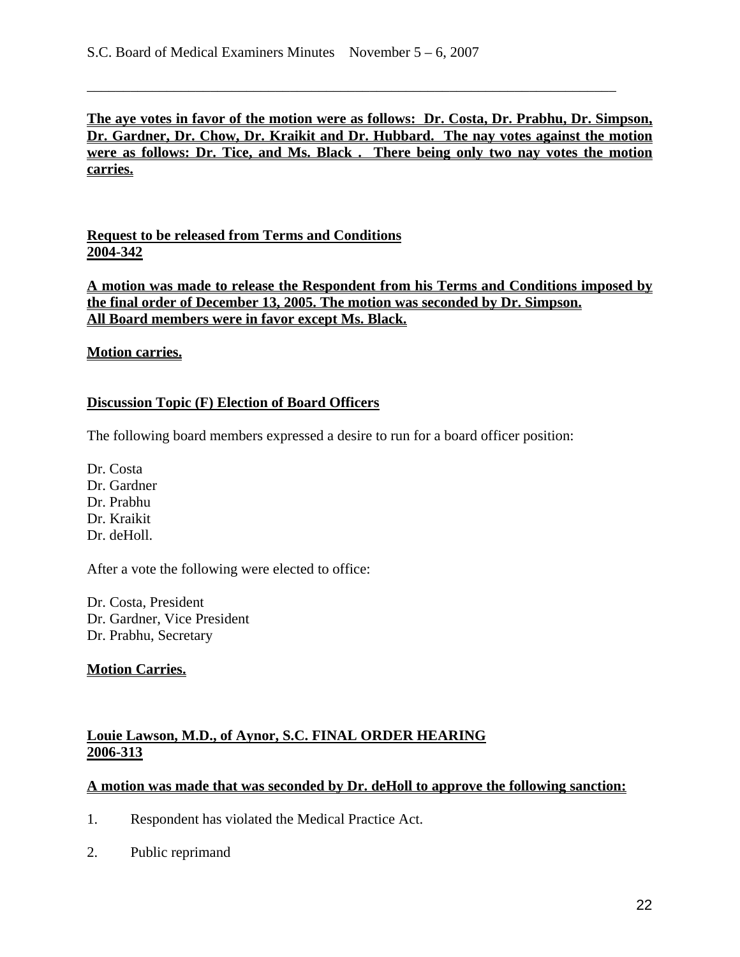**The aye votes in favor of the motion were as follows: Dr. Costa, Dr. Prabhu, Dr. Simpson, Dr. Gardner, Dr. Chow, Dr. Kraikit and Dr. Hubbard. The nay votes against the motion were as follows: Dr. Tice, and Ms. Black . There being only two nay votes the motion carries.**

\_\_\_\_\_\_\_\_\_\_\_\_\_\_\_\_\_\_\_\_\_\_\_\_\_\_\_\_\_\_\_\_\_\_\_\_\_\_\_\_\_\_\_\_\_\_\_\_\_\_\_\_\_\_\_\_\_\_\_\_\_\_\_\_\_\_\_\_\_\_\_\_\_

**Request to be released from Terms and Conditions 2004-342**

**A motion was made to release the Respondent from his Terms and Conditions imposed by the final order of December 13, 2005. The motion was seconded by Dr. Simpson. All Board members were in favor except Ms. Black.**

### **Motion carries.**

### **Discussion Topic (F) Election of Board Officers**

The following board members expressed a desire to run for a board officer position:

Dr. Costa Dr. Gardner Dr. Prabhu Dr. Kraikit Dr. deHoll.

After a vote the following were elected to office:

Dr. Costa, President Dr. Gardner, Vice President Dr. Prabhu, Secretary

### **Motion Carries.**

### **Louie Lawson, M.D., of Aynor, S.C. FINAL ORDER HEARING 2006-313**

#### **A motion was made that was seconded by Dr. deHoll to approve the following sanction:**

- 1. Respondent has violated the Medical Practice Act.
- 2. Public reprimand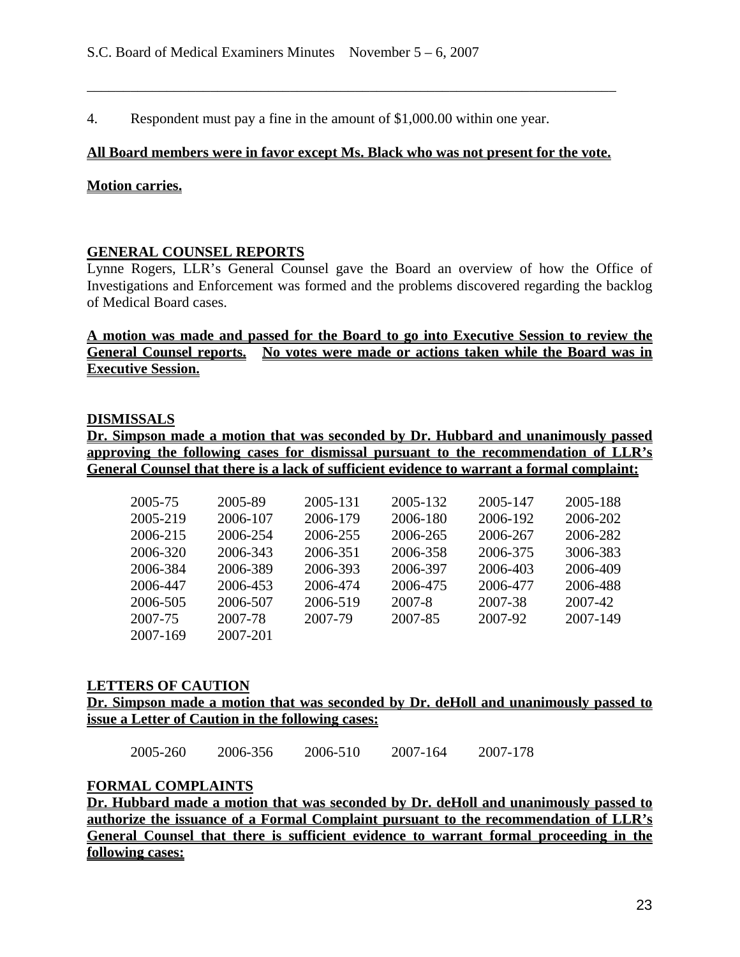4. Respondent must pay a fine in the amount of \$1,000.00 within one year.

#### **All Board members were in favor except Ms. Black who was not present for the vote.**

\_\_\_\_\_\_\_\_\_\_\_\_\_\_\_\_\_\_\_\_\_\_\_\_\_\_\_\_\_\_\_\_\_\_\_\_\_\_\_\_\_\_\_\_\_\_\_\_\_\_\_\_\_\_\_\_\_\_\_\_\_\_\_\_\_\_\_\_\_\_\_\_\_

#### **Motion carries.**

#### **GENERAL COUNSEL REPORTS**

Lynne Rogers, LLR's General Counsel gave the Board an overview of how the Office of Investigations and Enforcement was formed and the problems discovered regarding the backlog of Medical Board cases.

**A motion was made and passed for the Board to go into Executive Session to review the General Counsel reports. No votes were made or actions taken while the Board was in Executive Session.** 

#### **DISMISSALS**

**Dr. Simpson made a motion that was seconded by Dr. Hubbard and unanimously passed approving the following cases for dismissal pursuant to the recommendation of LLR's General Counsel that there is a lack of sufficient evidence to warrant a formal complaint:** 

| 2005-75  | 2005-89  | 2005-131 | 2005-132 | 2005-147 | 2005-188 |
|----------|----------|----------|----------|----------|----------|
| 2005-219 | 2006-107 | 2006-179 | 2006-180 | 2006-192 | 2006-202 |
| 2006-215 | 2006-254 | 2006-255 | 2006-265 | 2006-267 | 2006-282 |
| 2006-320 | 2006-343 | 2006-351 | 2006-358 | 2006-375 | 3006-383 |
| 2006-384 | 2006-389 | 2006-393 | 2006-397 | 2006-403 | 2006-409 |
| 2006-447 | 2006-453 | 2006-474 | 2006-475 | 2006-477 | 2006-488 |
| 2006-505 | 2006-507 | 2006-519 | 2007-8   | 2007-38  | 2007-42  |
| 2007-75  | 2007-78  | 2007-79  | 2007-85  | 2007-92  | 2007-149 |
| 2007-169 | 2007-201 |          |          |          |          |
|          |          |          |          |          |          |

#### **LETTERS OF CAUTION**

**Dr. Simpson made a motion that was seconded by Dr. deHoll and unanimously passed to issue a Letter of Caution in the following cases:** 

| 2005-260 | 2006-356 | 2006-510 | 2007-164 | 2007-178 |
|----------|----------|----------|----------|----------|

### **FORMAL COMPLAINTS**

**Dr. Hubbard made a motion that was seconded by Dr. deHoll and unanimously passed to authorize the issuance of a Formal Complaint pursuant to the recommendation of LLR's General Counsel that there is sufficient evidence to warrant formal proceeding in the following cases:**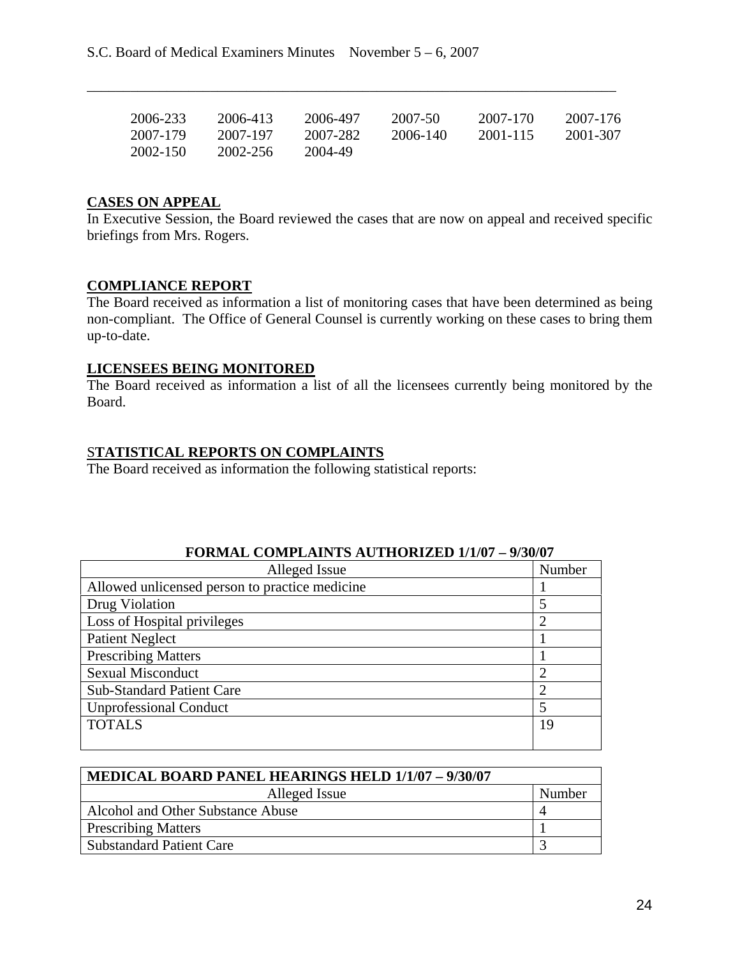| 2006-233 | 2006-413 | 2006-497 | 2007-50  | 2007-170 | 2007-176 |
|----------|----------|----------|----------|----------|----------|
| 2007-179 | 2007-197 | 2007-282 | 2006-140 | 2001-115 | 2001-307 |
| 2002-150 | 2002-256 | 2004-49  |          |          |          |

\_\_\_\_\_\_\_\_\_\_\_\_\_\_\_\_\_\_\_\_\_\_\_\_\_\_\_\_\_\_\_\_\_\_\_\_\_\_\_\_\_\_\_\_\_\_\_\_\_\_\_\_\_\_\_\_\_\_\_\_\_\_\_\_\_\_\_\_\_\_\_\_\_

### **CASES ON APPEAL**

In Executive Session, the Board reviewed the cases that are now on appeal and received specific briefings from Mrs. Rogers.

### **COMPLIANCE REPORT**

The Board received as information a list of monitoring cases that have been determined as being non-compliant. The Office of General Counsel is currently working on these cases to bring them up-to-date.

### **LICENSEES BEING MONITORED**

The Board received as information a list of all the licensees currently being monitored by the Board.

### S**TATISTICAL REPORTS ON COMPLAINTS**

The Board received as information the following statistical reports:

| голмар сомгран нэ астиолиргэ тэм – жүж<br>Alleged Issue | Number         |
|---------------------------------------------------------|----------------|
| Allowed unlicensed person to practice medicine          |                |
| Drug Violation                                          | 5              |
| Loss of Hospital privileges                             | 2              |
| <b>Patient Neglect</b>                                  |                |
| <b>Prescribing Matters</b>                              |                |
| <b>Sexual Misconduct</b>                                | ◠              |
| <b>Sub-Standard Patient Care</b>                        | $\overline{2}$ |
| <b>Unprofessional Conduct</b>                           | 5              |
| <b>TOTALS</b>                                           | 19             |
|                                                         |                |

### **FORMAL COMPLAINTS AUTHORIZED 1/1/07 – 9/30/07**

| MEDICAL BOARD PANEL HEARINGS HELD 1/1/07 - 9/30/07 |        |
|----------------------------------------------------|--------|
| Alleged Issue                                      | Number |
| Alcohol and Other Substance Abuse                  |        |
| <b>Prescribing Matters</b>                         |        |
| <b>Substandard Patient Care</b>                    |        |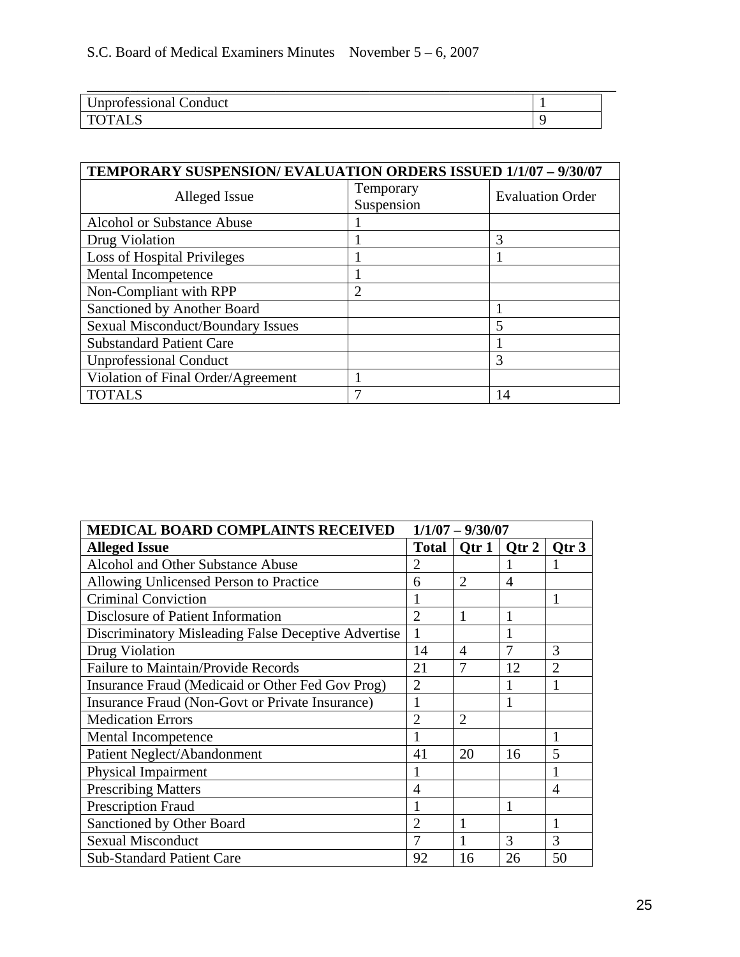| <b>Unprofessional Conduct</b> |  |
|-------------------------------|--|
| <b>TOTALS</b>                 |  |

| TEMPORARY SUSPENSION/EVALUATION ORDERS ISSUED 1/1/07 - 9/30/07 |                         |                         |  |  |
|----------------------------------------------------------------|-------------------------|-------------------------|--|--|
| Alleged Issue                                                  | Temporary<br>Suspension | <b>Evaluation Order</b> |  |  |
| <b>Alcohol or Substance Abuse</b>                              |                         |                         |  |  |
| Drug Violation                                                 |                         | 3                       |  |  |
| <b>Loss of Hospital Privileges</b>                             |                         |                         |  |  |
| Mental Incompetence                                            |                         |                         |  |  |
| Non-Compliant with RPP                                         | $\overline{2}$          |                         |  |  |
| Sanctioned by Another Board                                    |                         |                         |  |  |
| <b>Sexual Misconduct/Boundary Issues</b>                       |                         | 5                       |  |  |
| <b>Substandard Patient Care</b>                                |                         |                         |  |  |
| <b>Unprofessional Conduct</b>                                  |                         | 3                       |  |  |
| Violation of Final Order/Agreement                             |                         |                         |  |  |
| <b>TOTALS</b>                                                  |                         | 14                      |  |  |

| MEDICAL BOARD COMPLAINTS RECEIVED                   | $1/1/07 - 9/30/07$ |                |                |                |
|-----------------------------------------------------|--------------------|----------------|----------------|----------------|
| <b>Alleged Issue</b>                                |                    | Total   Qtr 1  | Qtr 2          | Qtr 3          |
| Alcohol and Other Substance Abuse                   | 2                  |                |                |                |
| Allowing Unlicensed Person to Practice              | 6                  | $\overline{2}$ | $\overline{4}$ |                |
| <b>Criminal Conviction</b>                          |                    |                |                |                |
| Disclosure of Patient Information                   | 2                  | 1              | 1              |                |
| Discriminatory Misleading False Deceptive Advertise | 1                  |                |                |                |
| Drug Violation                                      | 14                 | $\overline{4}$ | 7              | 3              |
| <b>Failure to Maintain/Provide Records</b>          | 21                 | 7              | 12             | $\overline{2}$ |
| Insurance Fraud (Medicaid or Other Fed Gov Prog)    | 2                  |                |                |                |
| Insurance Fraud (Non-Govt or Private Insurance)     |                    |                |                |                |
| <b>Medication Errors</b>                            | $\mathfrak{D}$     | $\overline{2}$ |                |                |
| Mental Incompetence                                 |                    |                |                | 1              |
| Patient Neglect/Abandonment                         | 41                 | 20             | 16             | 5              |
| Physical Impairment                                 | 1                  |                |                |                |
| <b>Prescribing Matters</b>                          | 4                  |                |                | 4              |
| <b>Prescription Fraud</b>                           |                    |                |                |                |
| Sanctioned by Other Board                           | $\overline{2}$     |                |                | 1              |
| <b>Sexual Misconduct</b>                            |                    |                | 3              | 3              |
| <b>Sub-Standard Patient Care</b>                    | 92                 | 16             | 26             | 50             |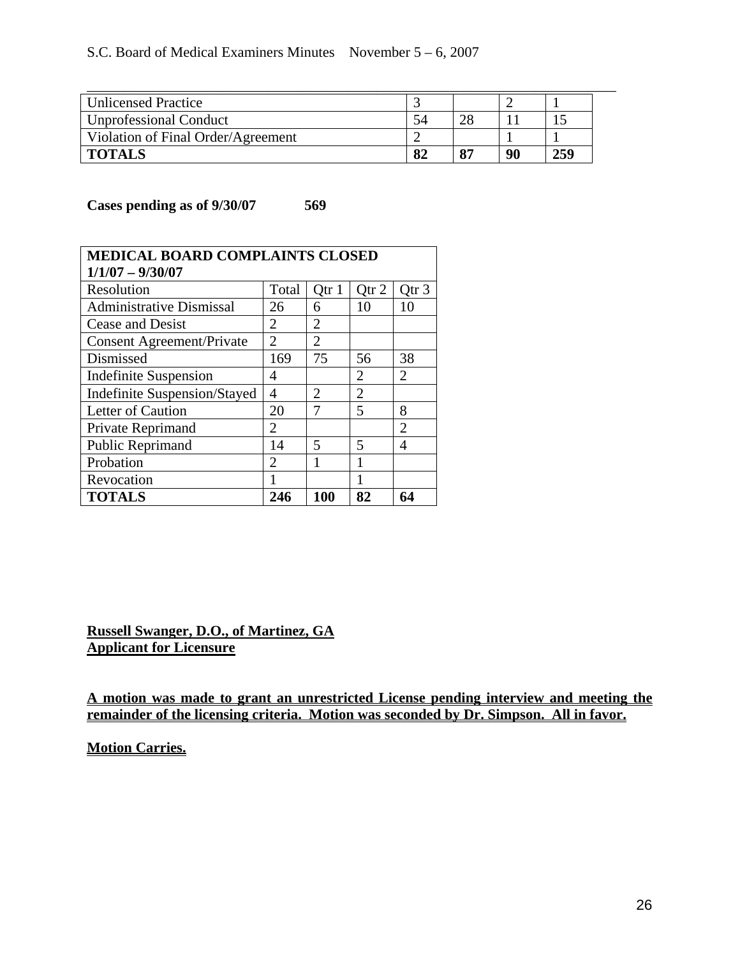| <b>Unlicensed Practice</b>         |    |    |    |     |
|------------------------------------|----|----|----|-----|
| <b>Unprofessional Conduct</b>      |    |    |    |     |
| Violation of Final Order/Agreement |    |    |    |     |
| <b>TOTALS</b>                      | 82 | 87 | 90 | 259 |

**Cases pending as of 9/30/07 569** 

| <b>MEDICAL BOARD COMPLAINTS CLOSED</b> |                |                             |                |                  |
|----------------------------------------|----------------|-----------------------------|----------------|------------------|
| $1/1/07 - 9/30/07$                     |                |                             |                |                  |
| Resolution                             | Total          | Qtr 1                       | Qtr 2          | Otr <sub>3</sub> |
| <b>Administrative Dismissal</b>        | 26             | 6                           | 10             | 10               |
| Cease and Desist                       | $\overline{2}$ | $\overline{2}$              |                |                  |
| <b>Consent Agreement/Private</b>       | $\overline{2}$ | $\overline{2}$              |                |                  |
| Dismissed                              | 169            | 75                          | 56             | 38               |
| <b>Indefinite Suspension</b>           | 4              |                             | 2              | $\overline{2}$   |
| <b>Indefinite Suspension/Stayed</b>    | $\overline{4}$ | $\mathcal{D}_{\mathcal{L}}$ | $\overline{2}$ |                  |
| Letter of Caution                      | 20             |                             | 5              | 8                |
| Private Reprimand                      | 2              |                             |                | $\overline{2}$   |
| Public Reprimand                       | 14             | 5                           | 5              | 4                |
| Probation                              | 2              | 1                           | 1              |                  |
| Revocation                             | 1              |                             |                |                  |
| <b>TOTALS</b>                          | 246            | 100                         | 82             | 64               |

**Russell Swanger, D.O., of Martinez, GA Applicant for Licensure**

**A motion was made to grant an unrestricted License pending interview and meeting the remainder of the licensing criteria. Motion was seconded by Dr. Simpson. All in favor.** 

**Motion Carries.**